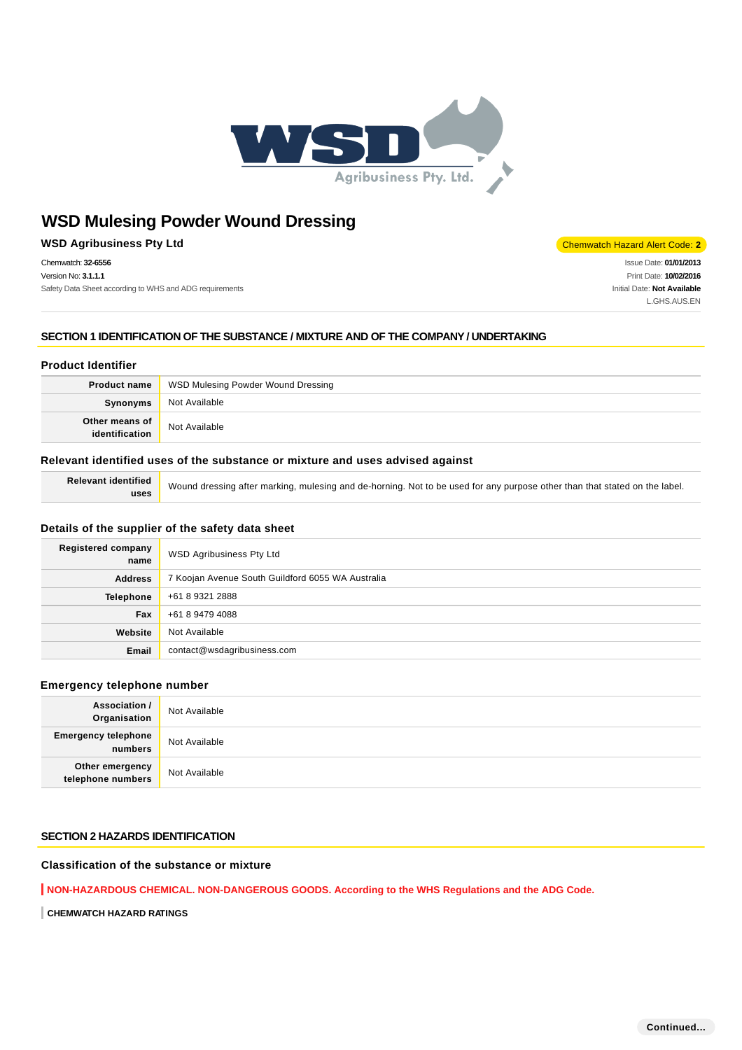

**WSD Agribusiness Pty Ltd** Chemwatch Hazard Alert Code: 2

Chemwatch: **32-6556** Version No: **3.1.1.1** Safety Data Sheet according to WHS and ADG requirements

Issue Date: **01/01/2013** Print Date: **10/02/2016** Initial Date: **Not Available** L.GHS.AUS.EN

## **SECTION 1 IDENTIFICATION OF THE SUBSTANCE / MIXTURE AND OF THE COMPANY / UNDERTAKING**

#### **Product Identifier**

| <b>Product name</b>              | WSD Mulesing Powder Wound Dressing |  |
|----------------------------------|------------------------------------|--|
| Synonyms                         | Not Available                      |  |
| Other means of<br>identification | Not Available                      |  |

#### **Relevant identified uses of the substance or mixture and uses advised against**

**Relevant identified uses**

Wound dressing after marking, mulesing and de-horning. Not to be used for any purpose other than that stated on the label.

## **Details of the supplier of the safety data sheet**

| <b>Registered company</b><br>name | WSD Agribusiness Pty Ltd                          |
|-----------------------------------|---------------------------------------------------|
| <b>Address</b>                    | 7 Koojan Avenue South Guildford 6055 WA Australia |
| <b>Telephone</b>                  | +61 8 9321 2888                                   |
| Fax                               | +61 8 9479 4088                                   |
| Website                           | Not Available                                     |
| Email                             | contact@wsdagribusiness.com                       |

#### **Emergency telephone number**

| <b>Association /</b><br>Organisation  | Not Available |
|---------------------------------------|---------------|
| <b>Emergency telephone</b><br>numbers | Not Available |
| Other emergency<br>telephone numbers  | Not Available |

#### **SECTION 2 HAZARDS IDENTIFICATION**

## **Classification of the substance or mixture**

**NON-HAZARDOUS CHEMICAL. NON-DANGEROUS GOODS. According to the WHS Regulations and the ADG Code.**

**CHEMWATCH HAZARD RATINGS**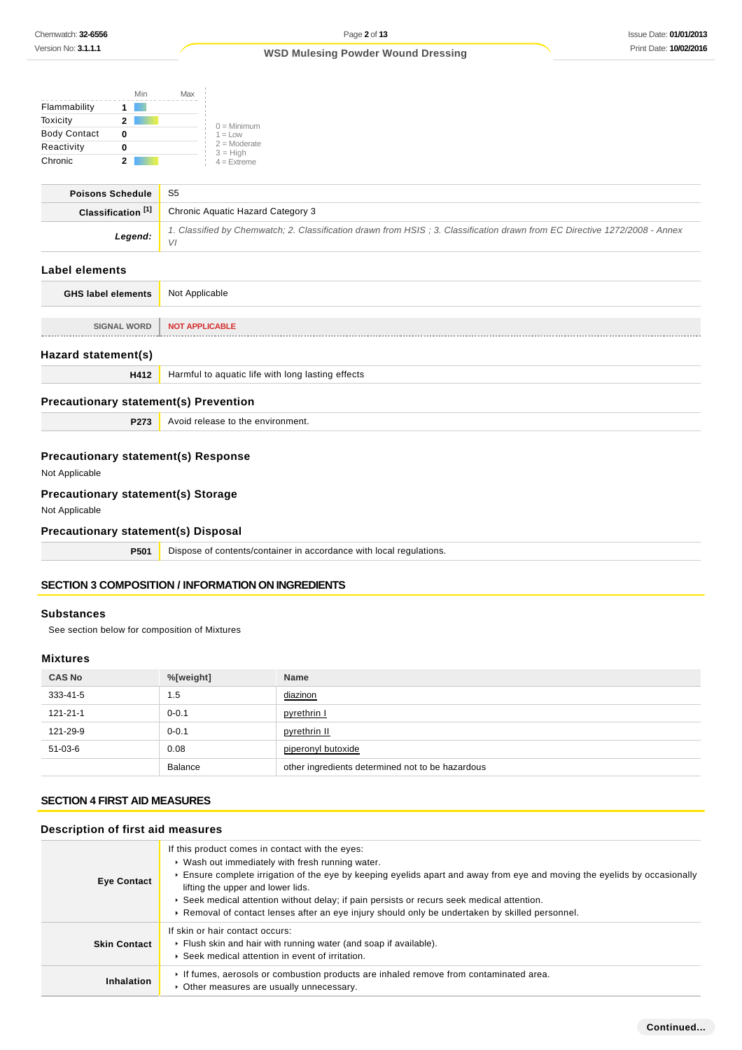|                     | Min | Max |                              |
|---------------------|-----|-----|------------------------------|
| Flammability        |     |     |                              |
| Toxicity            | 2   |     | $0 =$ Minimum                |
| <b>Body Contact</b> |     |     | $1 = 1$ OW                   |
| Reactivity          |     |     | $2 =$ Moderate<br>$3 = High$ |
| Chronic             |     |     | $4 =$ Extreme                |

| <b>Poisons Schedule</b>       | S5                                                                                                                         |
|-------------------------------|----------------------------------------------------------------------------------------------------------------------------|
| Classification <sup>[1]</sup> | Chronic Aquatic Hazard Category 3                                                                                          |
| Legend:                       | 1. Classified by Chemwatch; 2. Classification drawn from HSIS; 3. Classification drawn from EC Directive 1272/2008 - Annex |

## **Label elements**

| <b>GHS label elements</b> | Not Applicable |
|---------------------------|----------------|
|                           |                |
| <b>SIGNAL WORD</b>        | NOT APPLICABLE |
| Hazard statement(s)       |                |

# **H412** Harmful to aquatic life with long lasting effects

## **Precautionary statement(s) Prevention**

**P273** Avoid release to the environment.

## **Precautionary statement(s) Response**

Not Applicable

## **Precautionary statement(s) Storage**

Not Applicable

#### **Precautionary statement(s) Disposal**

**P501** Dispose of contents/container in accordance with local regulations.

## **SECTION 3 COMPOSITION / INFORMATION ON INGREDIENTS**

## **Substances**

See section below for composition of Mixtures

#### **Mixtures**

| <b>CAS No</b>  | %[weight]      | <b>Name</b>                                      |
|----------------|----------------|--------------------------------------------------|
| 333-41-5       | 1.5            | diazinon                                         |
| $121 - 21 - 1$ | $0 - 0.1$      | pyrethrin I                                      |
| 121-29-9       | $0 - 0.1$      | pyrethrin II                                     |
| $51-03-6$      | 0.08           | piperonyl butoxide                               |
|                | <b>Balance</b> | other ingredients determined not to be hazardous |

## **SECTION 4 FIRST AID MEASURES**

## **Description of first aid measures**

| <b>Eye Contact</b>  | If this product comes in contact with the eyes:<br>• Wash out immediately with fresh running water.<br>Ensure complete irrigation of the eye by keeping eyelids apart and away from eye and moving the eyelids by occasionally<br>lifting the upper and lower lids.<br>► Seek medical attention without delay; if pain persists or recurs seek medical attention.<br>► Removal of contact lenses after an eye injury should only be undertaken by skilled personnel. |
|---------------------|----------------------------------------------------------------------------------------------------------------------------------------------------------------------------------------------------------------------------------------------------------------------------------------------------------------------------------------------------------------------------------------------------------------------------------------------------------------------|
| <b>Skin Contact</b> | If skin or hair contact occurs:<br>Flush skin and hair with running water (and soap if available).<br>▶ Seek medical attention in event of irritation.                                                                                                                                                                                                                                                                                                               |
| Inhalation          | If fumes, aerosols or combustion products are inhaled remove from contaminated area.<br>• Other measures are usually unnecessary.                                                                                                                                                                                                                                                                                                                                    |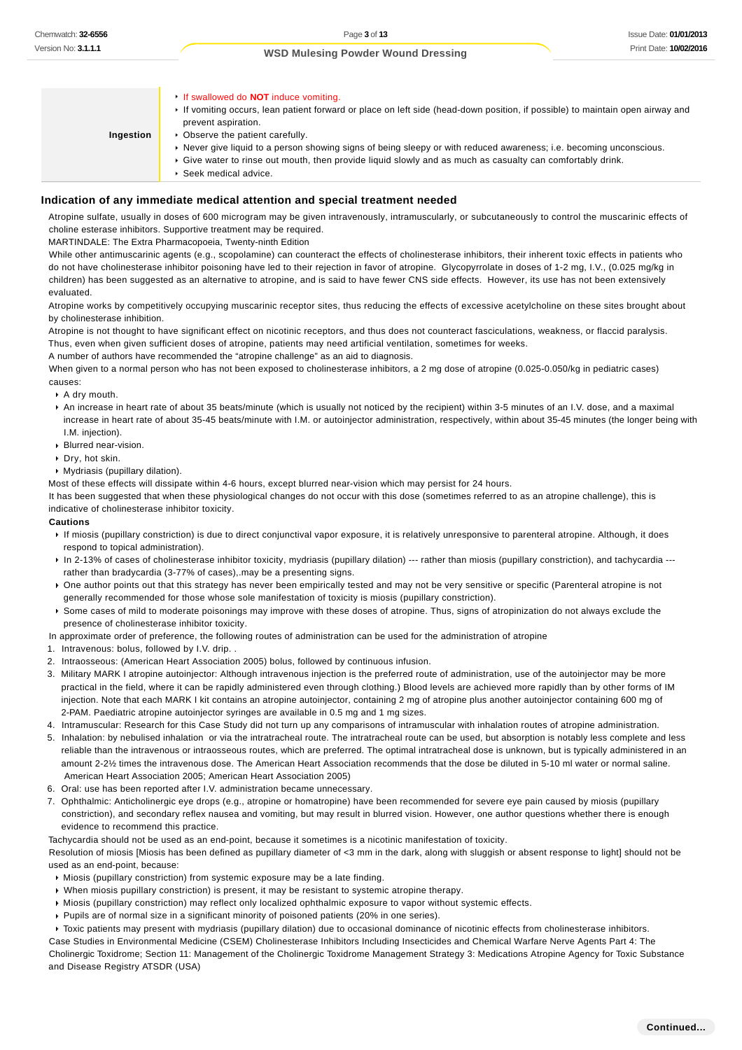| Chemwatch: 32-6556                               | Page 3 of 13                                                                                                                                                                                                                                                                                                                                                                                                                                                                  | <b>Issue Date: 01/01/2</b> |
|--------------------------------------------------|-------------------------------------------------------------------------------------------------------------------------------------------------------------------------------------------------------------------------------------------------------------------------------------------------------------------------------------------------------------------------------------------------------------------------------------------------------------------------------|----------------------------|
| Version No: <b>3.1.1.1</b>                       | <b>WSD Mulesing Powder Wound Dressing</b>                                                                                                                                                                                                                                                                                                                                                                                                                                     | Print Date: 10/02/2        |
|                                                  |                                                                                                                                                                                                                                                                                                                                                                                                                                                                               |                            |
| Ingestion                                        | If swallowed do <b>NOT</b> induce vomiting.<br>► If vomiting occurs, lean patient forward or place on left side (head-down position, if possible) to maintain open airway and<br>prevent aspiration.<br>• Observe the patient carefully.<br>▶ Never give liquid to a person showing signs of being sleepy or with reduced awareness; i.e. becoming unconscious.<br>► Give water to rinse out mouth, then provide liquid slowly and as much as casualty can comfortably drink. |                            |
|                                                  | Seek medical advice.                                                                                                                                                                                                                                                                                                                                                                                                                                                          |                            |
|                                                  | Indication of any immediate medical attention and special treatment needed                                                                                                                                                                                                                                                                                                                                                                                                    |                            |
|                                                  | Atropine sulfate, usually in doses of 600 microgram may be given intravenously, intramuscularly, or subcutaneously to control the muscarinic effects of                                                                                                                                                                                                                                                                                                                       |                            |
|                                                  | choline esterase inhibitors. Supportive treatment may be required.                                                                                                                                                                                                                                                                                                                                                                                                            |                            |
|                                                  | MARTINDALE: The Extra Pharmacopoeia, Twenty-ninth Edition<br>While other antimuscarinic agents (e.g., scopolamine) can counteract the effects of cholinesterase inhibitors, their inherent toxic effects in patients who                                                                                                                                                                                                                                                      |                            |
|                                                  | do not have cholinesterase inhibitor poisoning have led to their rejection in favor of atropine. Glycopyrrolate in doses of 1-2 mg, I.V., (0.025 mg/kg in                                                                                                                                                                                                                                                                                                                     |                            |
|                                                  | children) has been suggested as an alternative to atropine, and is said to have fewer CNS side effects. However, its use has not been extensively                                                                                                                                                                                                                                                                                                                             |                            |
| evaluated.                                       | Atropine works by competitively occupying muscarinic receptor sites, thus reducing the effects of excessive acetylcholine on these sites brought about                                                                                                                                                                                                                                                                                                                        |                            |
| by cholinesterase inhibition.                    |                                                                                                                                                                                                                                                                                                                                                                                                                                                                               |                            |
|                                                  | Atropine is not thought to have significant effect on nicotinic receptors, and thus does not counteract fasciculations, weakness, or flaccid paralysis.<br>Thus, even when given sufficient doses of atropine, patients may need artificial ventilation, sometimes for weeks.<br>A number of authors have recommended the "atropine challenge" as an aid to diagnosis.                                                                                                        |                            |
|                                                  | When given to a normal person who has not been exposed to cholinesterase inhibitors, a 2 mg dose of atropine (0.025-0.050/kg in pediatric cases)                                                                                                                                                                                                                                                                                                                              |                            |
| causes:<br>$\cdot$ A dry mouth.                  |                                                                                                                                                                                                                                                                                                                                                                                                                                                                               |                            |
|                                                  | An increase in heart rate of about 35 beats/minute (which is usually not noticed by the recipient) within 3-5 minutes of an I.V. dose, and a maximal                                                                                                                                                                                                                                                                                                                          |                            |
|                                                  | increase in heart rate of about 35-45 beats/minute with I.M. or autoinjector administration, respectively, within about 35-45 minutes (the longer being with                                                                                                                                                                                                                                                                                                                  |                            |
| I.M. injection).<br>Blurred near-vision.         |                                                                                                                                                                                                                                                                                                                                                                                                                                                                               |                            |
| $\triangleright$ Dry, hot skin.                  |                                                                                                                                                                                                                                                                                                                                                                                                                                                                               |                            |
| • Mydriasis (pupillary dilation).                | Most of these effects will dissipate within 4-6 hours, except blurred near-vision which may persist for 24 hours.                                                                                                                                                                                                                                                                                                                                                             |                            |
|                                                  | It has been suggested that when these physiological changes do not occur with this dose (sometimes referred to as an atropine challenge), this is                                                                                                                                                                                                                                                                                                                             |                            |
| indicative of cholinesterase inhibitor toxicity. |                                                                                                                                                                                                                                                                                                                                                                                                                                                                               |                            |
| <b>Cautions</b>                                  | If miosis (pupillary constriction) is due to direct conjunctival vapor exposure, it is relatively unresponsive to parenteral atropine. Although, it does                                                                                                                                                                                                                                                                                                                      |                            |
| respond to topical administration).              |                                                                                                                                                                                                                                                                                                                                                                                                                                                                               |                            |
|                                                  | ► In 2-13% of cases of cholinesterase inhibitor toxicity, mydriasis (pupillary dilation) --- rather than miosis (pupillary constriction), and tachycardia ---                                                                                                                                                                                                                                                                                                                 |                            |
|                                                  | rather than bradycardia (3-77% of cases), may be a presenting signs.<br>▶ One author points out that this strategy has never been empirically tested and may not be very sensitive or specific (Parenteral atropine is not                                                                                                                                                                                                                                                    |                            |
|                                                  | generally recommended for those whose sole manifestation of toxicity is miosis (pupillary constriction).                                                                                                                                                                                                                                                                                                                                                                      |                            |
| presence of cholinesterase inhibitor toxicity.   | ▶ Some cases of mild to moderate poisonings may improve with these doses of atropine. Thus, signs of atropinization do not always exclude the                                                                                                                                                                                                                                                                                                                                 |                            |
|                                                  | In approximate order of preference, the following routes of administration can be used for the administration of atropine                                                                                                                                                                                                                                                                                                                                                     |                            |
| 1. Intravenous: bolus, followed by I.V. drip     |                                                                                                                                                                                                                                                                                                                                                                                                                                                                               |                            |
|                                                  | 2. Intraosseous: (American Heart Association 2005) bolus, followed by continuous infusion.<br>3. Military MARK I atropine autoinjector: Although intravenous injection is the preferred route of administration, use of the autoinjector may be more                                                                                                                                                                                                                          |                            |
|                                                  | practical in the field, where it can be rapidly administered even through clothing.) Blood levels are achieved more rapidly than by other forms of IM<br>injection. Note that each MARK I kit contains an atropine autoinjector, containing 2 mg of atropine plus another autoinjector containing 600 mg of                                                                                                                                                                   |                            |
|                                                  | 2-PAM. Paediatric atropine autoinjector syringes are available in 0.5 mg and 1 mg sizes.<br>4. Intramuscular: Research for this Case Study did not turn up any comparisons of intramuscular with inhalation routes of atropine administration.                                                                                                                                                                                                                                |                            |
|                                                  | 5. Inhalation: by nebulised inhalation or via the intratracheal route. The intratracheal route can be used, but absorption is notably less complete and less                                                                                                                                                                                                                                                                                                                  |                            |
|                                                  | reliable than the intravenous or intraosseous routes, which are preferred. The optimal intratracheal dose is unknown, but is typically administered in an<br>amount 2-2½ times the intravenous dose. The American Heart Association recommends that the dose be diluted in 5-10 ml water or normal saline.                                                                                                                                                                    |                            |
|                                                  | American Heart Association 2005; American Heart Association 2005)                                                                                                                                                                                                                                                                                                                                                                                                             |                            |
|                                                  | 6. Oral: use has been reported after I.V. administration became unnecessary.                                                                                                                                                                                                                                                                                                                                                                                                  |                            |
| evidence to recommend this practice.             | 7. Ophthalmic: Anticholinergic eye drops (e.g., atropine or homatropine) have been recommended for severe eye pain caused by miosis (pupillary<br>constriction), and secondary reflex nausea and vomiting, but may result in blurred vision. However, one author questions whether there is enough                                                                                                                                                                            |                            |
|                                                  | Tachycardia should not be used as an end-point, because it sometimes is a nicotinic manifestation of toxicity.                                                                                                                                                                                                                                                                                                                                                                |                            |
|                                                  | Resolution of miosis [Miosis has been defined as pupillary diameter of <3 mm in the dark, along with sluggish or absent response to light] should not be                                                                                                                                                                                                                                                                                                                      |                            |
| used as an end-point, because:                   | • Miosis (pupillary constriction) from systemic exposure may be a late finding.                                                                                                                                                                                                                                                                                                                                                                                               |                            |
|                                                  | ► When miosis pupillary constriction) is present, it may be resistant to systemic atropine therapy.                                                                                                                                                                                                                                                                                                                                                                           |                            |
|                                                  | ► Miosis (pupillary constriction) may reflect only localized ophthalmic exposure to vapor without systemic effects.                                                                                                                                                                                                                                                                                                                                                           |                            |
|                                                  | $\triangleright$ Pupils are of normal size in a significant minority of poisoned patients (20% in one series).<br>▶ Toxic patients may present with mydriasis (pupillary dilation) due to occasional dominance of nicotinic effects from cholinesterase inhibitors.                                                                                                                                                                                                           |                            |
|                                                  | Case Studies in Environmental Medicine (CSEM) Cholinesterase Inhibitors Including Insecticides and Chemical Warfare Nerve Agents Part 4: The                                                                                                                                                                                                                                                                                                                                  |                            |
| and Disease Registry ATSDR (USA)                 | Cholinergic Toxidrome; Section 11: Management of the Cholinergic Toxidrome Management Strategy 3: Medications Atropine Agency for Toxic Substance                                                                                                                                                                                                                                                                                                                             |                            |

#### **Indication of any immediate medical attention and special treatment needed**

- A drv mouth.
- An increase in heart rate of about 35 beats/minute (which is usually not noticed by the recipient) within 3-5 minutes of an I.V. dose, and a maximal increase in heart rate of about 35-45 beats/minute with I.M. or autoinjector administration, respectively, within about 35-45 minutes (the longer being with I.M. injection).
- Blurred near-vision.
- Dry, hot skin.
- Mydriasis (pupillary dilation).

#### **Cautions**

- If miosis (pupillary constriction) is due to direct conjunctival vapor exposure, it is relatively unresponsive to parenteral atropine. Although, it does respond to topical administration).
- K In 2-13% of cases of cholinesterase inhibitor toxicity, mydriasis (pupillary dilation) --- rather than miosis (pupillary constriction), and tachycardia --rather than bradycardia (3-77% of cases),.may be a presenting signs.
- ▶ One author points out that this strategy has never been empirically tested and may not be very sensitive or specific (Parenteral atropine is not generally recommended for those whose sole manifestation of toxicity is miosis (pupillary constriction).
- Some cases of mild to moderate poisonings may improve with these doses of atropine. Thus, signs of atropinization do not always exclude the presence of cholinesterase inhibitor toxicity.
- In approximate order of preference, the following routes of administration can be used for the administration of atropine
- 1. Intravenous: bolus, followed by I.V. drip. .
- 2. Intraosseous: (American Heart Association 2005) bolus, followed by continuous infusion.
- 3. Military MARK I atropine autoinjector: Although intravenous injection is the preferred route of administration, use of the autoinjector may be more practical in the field, where it can be rapidly administered even through clothing.) Blood levels are achieved more rapidly than by other forms of IM injection. Note that each MARK I kit contains an atropine autoinjector, containing 2 mg of atropine plus another autoinjector containing 600 mg of 2-PAM. Paediatric atropine autoinjector syringes are available in 0.5 mg and 1 mg sizes.
- 4. Intramuscular: Research for this Case Study did not turn up any comparisons of intramuscular with inhalation routes of atropine administration.
- 5. Inhalation: by nebulised inhalation or via the intratracheal route. The intratracheal route can be used, but absorption is notably less complete and less reliable than the intravenous or intraosseous routes, which are preferred. The optimal intratracheal dose is unknown, but is typically administered in an amount 2-2½ times the intravenous dose. The American Heart Association recommends that the dose be diluted in 5-10 ml water or normal saline. American Heart Association 2005; American Heart Association 2005)
- 6. Oral: use has been reported after I.V. administration became unnecessary.
- 7. Ophthalmic: Anticholinergic eye drops (e.g., atropine or homatropine) have been recommended for severe eye pain caused by miosis (pupillary constriction), and secondary reflex nausea and vomiting, but may result in blurred vision. However, one author questions whether there is enough evidence to recommend this practice.

- Miosis (pupillary constriction) from systemic exposure may be a late finding.
- When miosis pupillary constriction) is present, it may be resistant to systemic atropine therapy.
- Miosis (pupillary constriction) may reflect only localized ophthalmic exposure to vapor without systemic effects.
- Pupils are of normal size in a significant minority of poisoned patients (20% in one series).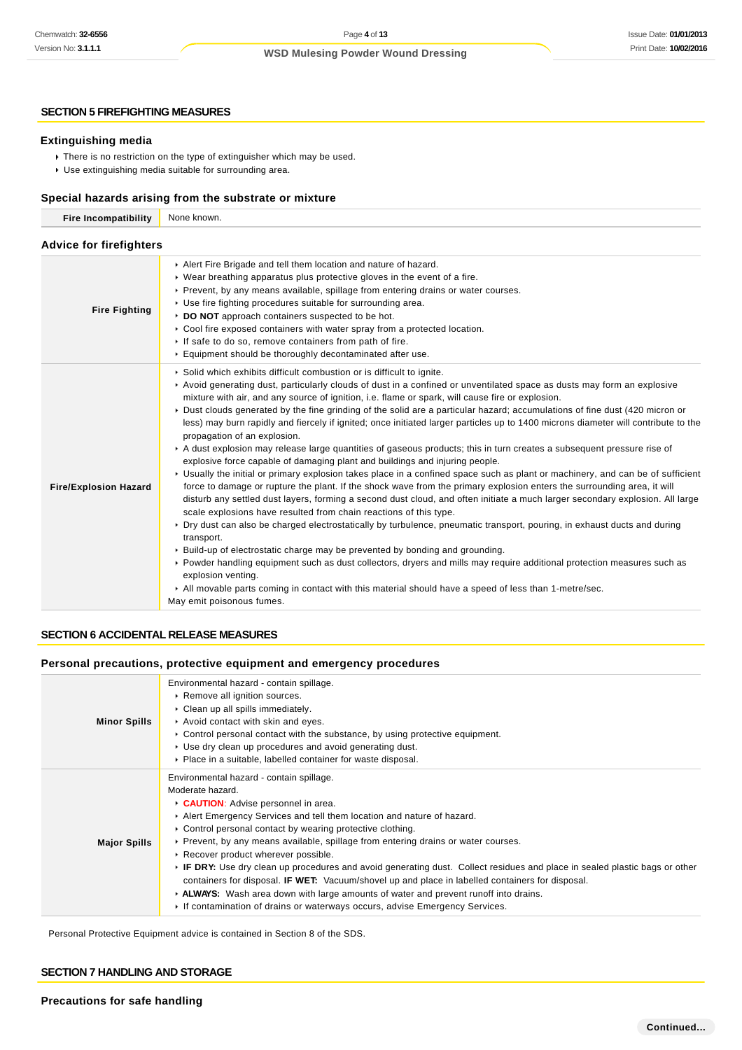#### **SECTION 5 FIREFIGHTING MEASURES**

#### **Extinguishing media**

- There is no restriction on the type of extinguisher which may be used.
- Use extinguishing media suitable for surrounding area.

#### **Special hazards arising from the substrate or mixture**

| <b>Fire Incompatibility</b>    | None known.                                                                                                                                                                                                                                                                                                                                                                                                                                                                                                                                                                                                                                                                                                                                                                                                                                                                                                                                                                                                                                                                                                                                                                                                                                                                                                                                                                                                                                                                                                                                                                                                                                                                                                                                                                                               |  |  |
|--------------------------------|-----------------------------------------------------------------------------------------------------------------------------------------------------------------------------------------------------------------------------------------------------------------------------------------------------------------------------------------------------------------------------------------------------------------------------------------------------------------------------------------------------------------------------------------------------------------------------------------------------------------------------------------------------------------------------------------------------------------------------------------------------------------------------------------------------------------------------------------------------------------------------------------------------------------------------------------------------------------------------------------------------------------------------------------------------------------------------------------------------------------------------------------------------------------------------------------------------------------------------------------------------------------------------------------------------------------------------------------------------------------------------------------------------------------------------------------------------------------------------------------------------------------------------------------------------------------------------------------------------------------------------------------------------------------------------------------------------------------------------------------------------------------------------------------------------------|--|--|
| <b>Advice for firefighters</b> |                                                                                                                                                                                                                                                                                                                                                                                                                                                                                                                                                                                                                                                                                                                                                                                                                                                                                                                                                                                                                                                                                                                                                                                                                                                                                                                                                                                                                                                                                                                                                                                                                                                                                                                                                                                                           |  |  |
| <b>Fire Fighting</b>           | Alert Fire Brigade and tell them location and nature of hazard.<br>$\triangleright$ Wear breathing apparatus plus protective gloves in the event of a fire.<br>Prevent, by any means available, spillage from entering drains or water courses.<br>▶ Use fire fighting procedures suitable for surrounding area.<br>DO NOT approach containers suspected to be hot.<br>► Cool fire exposed containers with water spray from a protected location.<br>If safe to do so, remove containers from path of fire.<br>Equipment should be thoroughly decontaminated after use.                                                                                                                                                                                                                                                                                                                                                                                                                                                                                                                                                                                                                                                                                                                                                                                                                                                                                                                                                                                                                                                                                                                                                                                                                                   |  |  |
| <b>Fire/Explosion Hazard</b>   | Solid which exhibits difficult combustion or is difficult to ignite.<br>► Avoid generating dust, particularly clouds of dust in a confined or unventilated space as dusts may form an explosive<br>mixture with air, and any source of ignition, i.e. flame or spark, will cause fire or explosion.<br>• Dust clouds generated by the fine grinding of the solid are a particular hazard; accumulations of fine dust (420 micron or<br>less) may burn rapidly and fiercely if ignited; once initiated larger particles up to 1400 microns diameter will contribute to the<br>propagation of an explosion.<br>A dust explosion may release large quantities of gaseous products; this in turn creates a subsequent pressure rise of<br>explosive force capable of damaging plant and buildings and injuring people.<br>▶ Usually the initial or primary explosion takes place in a confined space such as plant or machinery, and can be of sufficient<br>force to damage or rupture the plant. If the shock wave from the primary explosion enters the surrounding area, it will<br>disturb any settled dust layers, forming a second dust cloud, and often initiate a much larger secondary explosion. All large<br>scale explosions have resulted from chain reactions of this type.<br>▶ Dry dust can also be charged electrostatically by turbulence, pneumatic transport, pouring, in exhaust ducts and during<br>transport.<br>► Build-up of electrostatic charge may be prevented by bonding and grounding.<br>▶ Powder handling equipment such as dust collectors, dryers and mills may require additional protection measures such as<br>explosion venting.<br>All movable parts coming in contact with this material should have a speed of less than 1-metre/sec.<br>May emit poisonous fumes. |  |  |

## **SECTION 6 ACCIDENTAL RELEASE MEASURES**

#### **Personal precautions, protective equipment and emergency procedures**

| <b>Minor Spills</b> | Environmental hazard - contain spillage.<br>Remove all ignition sources.<br>Clean up all spills immediately.<br>Avoid contact with skin and eyes.<br>$\triangleright$ Control personal contact with the substance, by using protective equipment.<br>► Use dry clean up procedures and avoid generating dust.<br>• Place in a suitable, labelled container for waste disposal.                                                                                                                                                                                                                                                                                                                                                                                                            |
|---------------------|-------------------------------------------------------------------------------------------------------------------------------------------------------------------------------------------------------------------------------------------------------------------------------------------------------------------------------------------------------------------------------------------------------------------------------------------------------------------------------------------------------------------------------------------------------------------------------------------------------------------------------------------------------------------------------------------------------------------------------------------------------------------------------------------|
| <b>Major Spills</b> | Environmental hazard - contain spillage.<br>Moderate hazard.<br>CAUTION: Advise personnel in area.<br>Alert Emergency Services and tell them location and nature of hazard.<br>► Control personal contact by wearing protective clothing.<br>► Prevent, by any means available, spillage from entering drains or water courses.<br>▶ Recover product wherever possible.<br>▶ IF DRY: Use dry clean up procedures and avoid generating dust. Collect residues and place in sealed plastic bags or other<br>containers for disposal. <b>IF WET:</b> Vacuum/shovel up and place in labelled containers for disposal.<br>► ALWAYS: Wash area down with large amounts of water and prevent runoff into drains.<br>► If contamination of drains or waterways occurs, advise Emergency Services. |

Personal Protective Equipment advice is contained in Section 8 of the SDS.

#### **SECTION 7 HANDLING AND STORAGE**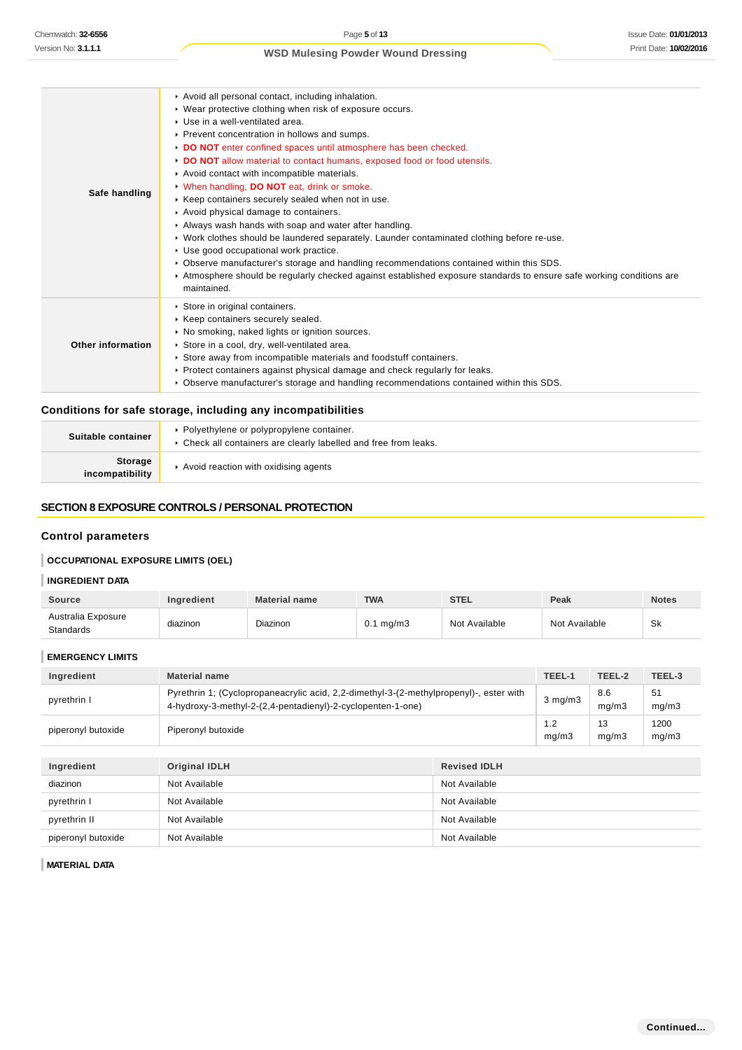| Safe handling     | Avoid all personal contact, including inhalation.<br>• Wear protective clothing when risk of exposure occurs.<br>▶ Use in a well-ventilated area.<br>▶ Prevent concentration in hollows and sumps.<br>DO NOT enter confined spaces until atmosphere has been checked.<br>DO NOT allow material to contact humans, exposed food or food utensils.<br>Avoid contact with incompatible materials.<br>V When handling, DO NOT eat, drink or smoke.<br>▶ Keep containers securely sealed when not in use.<br>Avoid physical damage to containers.<br>Always wash hands with soap and water after handling.<br>▶ Work clothes should be laundered separately. Launder contaminated clothing before re-use.<br>Use good occupational work practice.<br>► Observe manufacturer's storage and handling recommendations contained within this SDS.<br>Atmosphere should be regularly checked against established exposure standards to ensure safe working conditions are<br>maintained. |
|-------------------|--------------------------------------------------------------------------------------------------------------------------------------------------------------------------------------------------------------------------------------------------------------------------------------------------------------------------------------------------------------------------------------------------------------------------------------------------------------------------------------------------------------------------------------------------------------------------------------------------------------------------------------------------------------------------------------------------------------------------------------------------------------------------------------------------------------------------------------------------------------------------------------------------------------------------------------------------------------------------------|
| Other information | Store in original containers.<br>▶ Keep containers securely sealed.<br>• No smoking, naked lights or ignition sources.<br>Store in a cool, dry, well-ventilated area.<br>Store away from incompatible materials and foodstuff containers.<br>▶ Protect containers against physical damage and check regularly for leaks.<br>► Observe manufacturer's storage and handling recommendations contained within this SDS.                                                                                                                                                                                                                                                                                                                                                                                                                                                                                                                                                           |

## **Conditions for safe storage, including any incompatibilities**

| Suitable container         | • Polyethylene or polypropylene container.<br>• Check all containers are clearly labelled and free from leaks. |
|----------------------------|----------------------------------------------------------------------------------------------------------------|
| Storage<br>incompatibility | Avoid reaction with oxidising agents                                                                           |

#### **SECTION 8 EXPOSURE CONTROLS / PERSONAL PROTECTION**

## **Control parameters**

## **OCCUPATIONAL EXPOSURE LIMITS (OEL)**

## **INGREDIENT DATA**

| <b>Source</b>                          | <b>Ingredient</b> | <b>Material name</b> | <b>TWA</b>           | <b>STEL</b>   | Peak          | <b>Notes</b> |
|----------------------------------------|-------------------|----------------------|----------------------|---------------|---------------|--------------|
| Australia Exposure<br><b>Standards</b> | diazinon          | Diazinon             | $0.1 \text{ mg/m}$ 3 | Not Available | Not Available | Sk           |

| <b>EMERGENCY LIMITS</b> |                                                                                                                                                       |                     |              |              |               |
|-------------------------|-------------------------------------------------------------------------------------------------------------------------------------------------------|---------------------|--------------|--------------|---------------|
| Ingredient              | <b>Material name</b>                                                                                                                                  |                     |              | TEEL-2       | TEEL-3        |
| pyrethrin I             | Pyrethrin 1; (Cyclopropaneacrylic acid, 2,2-dimethyl-3-(2-methylpropenyl)-, ester with<br>4-hydroxy-3-methyl-2-(2,4-pentadienyl)-2-cyclopenten-1-one) |                     | $3$ mg/m $3$ | 8.6<br>mq/m3 | 51<br>mg/m3   |
| piperonyl butoxide      | Piperonyl butoxide                                                                                                                                    |                     | 1.2<br>mg/m3 | 13<br>mg/m3  | 1200<br>mg/m3 |
|                         |                                                                                                                                                       |                     |              |              |               |
| Ingredient              | <b>Original IDLH</b>                                                                                                                                  | <b>Revised IDLH</b> |              |              |               |
| diazinon                | Not Available                                                                                                                                         | Not Available       |              |              |               |
| pyrethrin I             | Not Available                                                                                                                                         | Not Available       |              |              |               |
| pyrethrin II            | Not Available                                                                                                                                         | Not Available       |              |              |               |
| piperonyl butoxide      | Not Available                                                                                                                                         | Not Available       |              |              |               |

**MATERIAL DATA**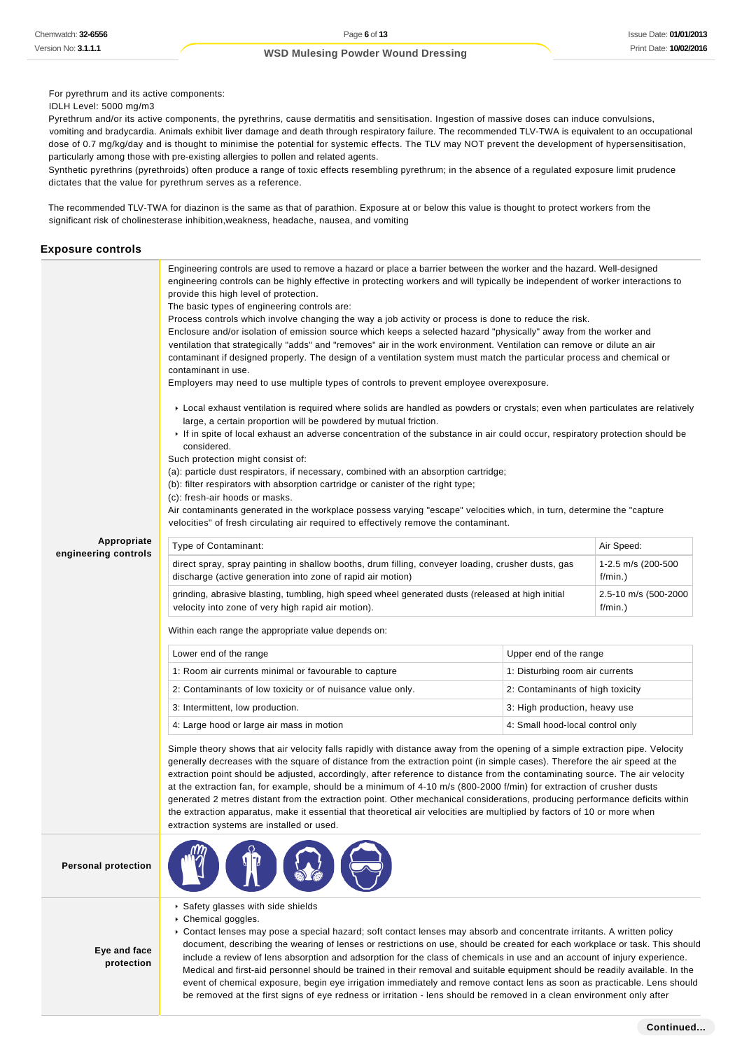For pyrethrum and its active components:

IDLH Level: 5000 mg/m3

Pyrethrum and/or its active components, the pyrethrins, cause dermatitis and sensitisation. Ingestion of massive doses can induce convulsions, vomiting and bradycardia. Animals exhibit liver damage and death through respiratory failure. The recommended TLV-TWA is equivalent to an occupational dose of 0.7 mg/kg/day and is thought to minimise the potential for systemic effects. The TLV may NOT prevent the development of hypersensitisation, particularly among those with pre-existing allergies to pollen and related agents.

Synthetic pyrethrins (pyrethroids) often produce a range of toxic effects resembling pyrethrum; in the absence of a regulated exposure limit prudence dictates that the value for pyrethrum serves as a reference.

The recommended TLV-TWA for diazinon is the same as that of parathion. Exposure at or below this value is thought to protect workers from the significant risk of cholinesterase inhibition,weakness, headache, nausea, and vomiting

#### **Exposure controls**

|                                     | Engineering controls are used to remove a hazard or place a barrier between the worker and the hazard. Well-designed<br>engineering controls can be highly effective in protecting workers and will typically be independent of worker interactions to<br>provide this high level of protection.<br>The basic types of engineering controls are:<br>Process controls which involve changing the way a job activity or process is done to reduce the risk.<br>Enclosure and/or isolation of emission source which keeps a selected hazard "physically" away from the worker and<br>ventilation that strategically "adds" and "removes" air in the work environment. Ventilation can remove or dilute an air<br>contaminant if designed properly. The design of a ventilation system must match the particular process and chemical or<br>contaminant in use.<br>Employers may need to use multiple types of controls to prevent employee overexposure.<br>► Local exhaust ventilation is required where solids are handled as powders or crystals; even when particulates are relatively<br>large, a certain proportion will be powdered by mutual friction.<br>If in spite of local exhaust an adverse concentration of the substance in air could occur, respiratory protection should be<br>considered.<br>Such protection might consist of:<br>(a): particle dust respirators, if necessary, combined with an absorption cartridge;<br>(b): filter respirators with absorption cartridge or canister of the right type;<br>(c): fresh-air hoods or masks.<br>Air contaminants generated in the workplace possess varying "escape" velocities which, in turn, determine the "capture"<br>velocities" of fresh circulating air required to effectively remove the contaminant. |                                  |            |  |
|-------------------------------------|---------------------------------------------------------------------------------------------------------------------------------------------------------------------------------------------------------------------------------------------------------------------------------------------------------------------------------------------------------------------------------------------------------------------------------------------------------------------------------------------------------------------------------------------------------------------------------------------------------------------------------------------------------------------------------------------------------------------------------------------------------------------------------------------------------------------------------------------------------------------------------------------------------------------------------------------------------------------------------------------------------------------------------------------------------------------------------------------------------------------------------------------------------------------------------------------------------------------------------------------------------------------------------------------------------------------------------------------------------------------------------------------------------------------------------------------------------------------------------------------------------------------------------------------------------------------------------------------------------------------------------------------------------------------------------------------------------------------------------------------------------------------------------|----------------------------------|------------|--|
| Appropriate<br>engineering controls | Type of Contaminant:                                                                                                                                                                                                                                                                                                                                                                                                                                                                                                                                                                                                                                                                                                                                                                                                                                                                                                                                                                                                                                                                                                                                                                                                                                                                                                                                                                                                                                                                                                                                                                                                                                                                                                                                                            |                                  | Air Speed: |  |
|                                     | direct spray, spray painting in shallow booths, drum filling, conveyer loading, crusher dusts, gas<br>1-2.5 m/s (200-500<br>discharge (active generation into zone of rapid air motion)<br>$f/min.$ )                                                                                                                                                                                                                                                                                                                                                                                                                                                                                                                                                                                                                                                                                                                                                                                                                                                                                                                                                                                                                                                                                                                                                                                                                                                                                                                                                                                                                                                                                                                                                                           |                                  |            |  |
|                                     | 2.5-10 m/s (500-2000<br>grinding, abrasive blasting, tumbling, high speed wheel generated dusts (released at high initial<br>velocity into zone of very high rapid air motion).<br>$f/min.$ )                                                                                                                                                                                                                                                                                                                                                                                                                                                                                                                                                                                                                                                                                                                                                                                                                                                                                                                                                                                                                                                                                                                                                                                                                                                                                                                                                                                                                                                                                                                                                                                   |                                  |            |  |
|                                     | Within each range the appropriate value depends on:                                                                                                                                                                                                                                                                                                                                                                                                                                                                                                                                                                                                                                                                                                                                                                                                                                                                                                                                                                                                                                                                                                                                                                                                                                                                                                                                                                                                                                                                                                                                                                                                                                                                                                                             |                                  |            |  |
|                                     | Lower end of the range                                                                                                                                                                                                                                                                                                                                                                                                                                                                                                                                                                                                                                                                                                                                                                                                                                                                                                                                                                                                                                                                                                                                                                                                                                                                                                                                                                                                                                                                                                                                                                                                                                                                                                                                                          | Upper end of the range           |            |  |
|                                     | 1: Room air currents minimal or favourable to capture                                                                                                                                                                                                                                                                                                                                                                                                                                                                                                                                                                                                                                                                                                                                                                                                                                                                                                                                                                                                                                                                                                                                                                                                                                                                                                                                                                                                                                                                                                                                                                                                                                                                                                                           | 1: Disturbing room air currents  |            |  |
|                                     | 2: Contaminants of low toxicity or of nuisance value only.                                                                                                                                                                                                                                                                                                                                                                                                                                                                                                                                                                                                                                                                                                                                                                                                                                                                                                                                                                                                                                                                                                                                                                                                                                                                                                                                                                                                                                                                                                                                                                                                                                                                                                                      | 2: Contaminants of high toxicity |            |  |
|                                     | 3: Intermittent, low production.                                                                                                                                                                                                                                                                                                                                                                                                                                                                                                                                                                                                                                                                                                                                                                                                                                                                                                                                                                                                                                                                                                                                                                                                                                                                                                                                                                                                                                                                                                                                                                                                                                                                                                                                                | 3: High production, heavy use    |            |  |
|                                     | 4: Small hood-local control only<br>4: Large hood or large air mass in motion                                                                                                                                                                                                                                                                                                                                                                                                                                                                                                                                                                                                                                                                                                                                                                                                                                                                                                                                                                                                                                                                                                                                                                                                                                                                                                                                                                                                                                                                                                                                                                                                                                                                                                   |                                  |            |  |
|                                     | Simple theory shows that air velocity falls rapidly with distance away from the opening of a simple extraction pipe. Velocity<br>generally decreases with the square of distance from the extraction point (in simple cases). Therefore the air speed at the<br>extraction point should be adjusted, accordingly, after reference to distance from the contaminating source. The air velocity<br>at the extraction fan, for example, should be a minimum of 4-10 m/s (800-2000 f/min) for extraction of crusher dusts<br>generated 2 metres distant from the extraction point. Other mechanical considerations, producing performance deficits within<br>the extraction apparatus, make it essential that theoretical air velocities are multiplied by factors of 10 or more when<br>extraction systems are installed or used.                                                                                                                                                                                                                                                                                                                                                                                                                                                                                                                                                                                                                                                                                                                                                                                                                                                                                                                                                  |                                  |            |  |
| <b>Personal protection</b>          |                                                                                                                                                                                                                                                                                                                                                                                                                                                                                                                                                                                                                                                                                                                                                                                                                                                                                                                                                                                                                                                                                                                                                                                                                                                                                                                                                                                                                                                                                                                                                                                                                                                                                                                                                                                 |                                  |            |  |

Safety glasses with side shields

 $\mathbf{L}$  ,  $\mathbf{L}$  ,  $\mathbf{L}$ 

Chemical goggles.

**Eye and face protection** Contact lenses may pose a special hazard; soft contact lenses may absorb and concentrate irritants. A written policy document, describing the wearing of lenses or restrictions on use, should be created for each workplace or task. This should include a review of lens absorption and adsorption for the class of chemicals in use and an account of injury experience. Medical and first-aid personnel should be trained in their removal and suitable equipment should be readily available. In the event of chemical exposure, begin eye irrigation immediately and remove contact lens as soon as practicable. Lens should be removed at the first signs of eye redness or irritation - lens should be removed in a clean environment only after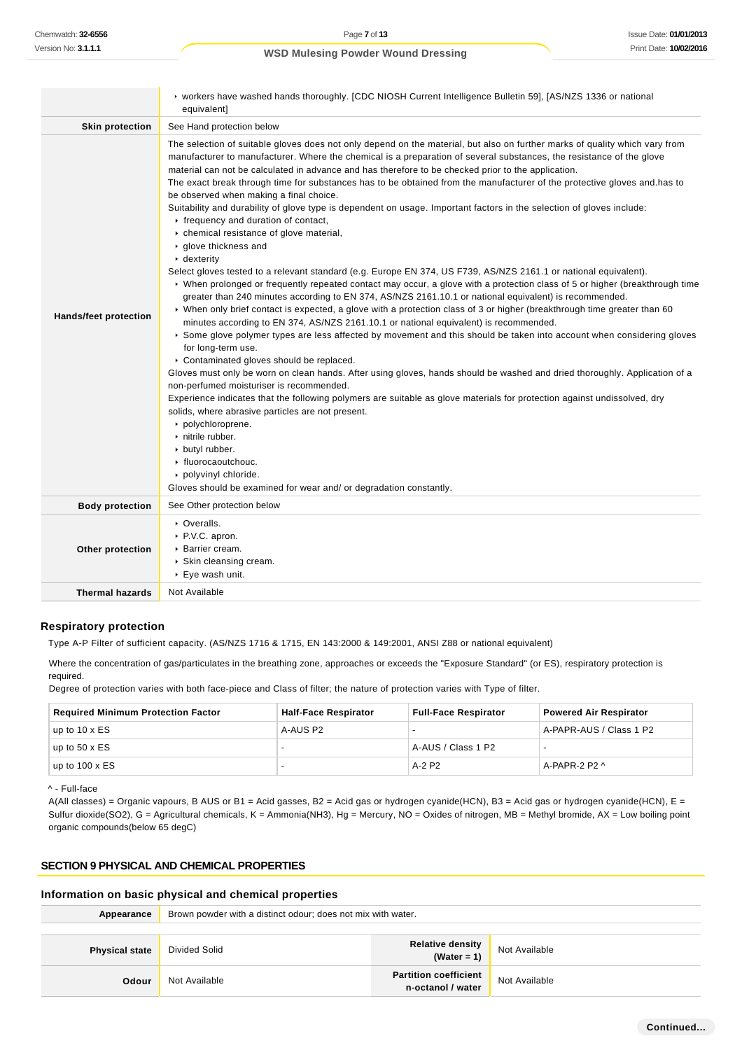|                              | ► workers have washed hands thoroughly. [CDC NIOSH Current Intelligence Bulletin 59], [AS/NZS 1336 or national<br>equivalent]                                                                                                                                                                                                                                                                                                                                                                                                                                                                                                                                                                                                                                                                                                                                                                                                                                                                                                                                                                                                                                                                                                                                                                                                                                                                                                                                                                                                                                                                                                                                                                                                                                                                                                                                                                                                                                                                                                                                                                                     |
|------------------------------|-------------------------------------------------------------------------------------------------------------------------------------------------------------------------------------------------------------------------------------------------------------------------------------------------------------------------------------------------------------------------------------------------------------------------------------------------------------------------------------------------------------------------------------------------------------------------------------------------------------------------------------------------------------------------------------------------------------------------------------------------------------------------------------------------------------------------------------------------------------------------------------------------------------------------------------------------------------------------------------------------------------------------------------------------------------------------------------------------------------------------------------------------------------------------------------------------------------------------------------------------------------------------------------------------------------------------------------------------------------------------------------------------------------------------------------------------------------------------------------------------------------------------------------------------------------------------------------------------------------------------------------------------------------------------------------------------------------------------------------------------------------------------------------------------------------------------------------------------------------------------------------------------------------------------------------------------------------------------------------------------------------------------------------------------------------------------------------------------------------------|
| <b>Skin protection</b>       | See Hand protection below                                                                                                                                                                                                                                                                                                                                                                                                                                                                                                                                                                                                                                                                                                                                                                                                                                                                                                                                                                                                                                                                                                                                                                                                                                                                                                                                                                                                                                                                                                                                                                                                                                                                                                                                                                                                                                                                                                                                                                                                                                                                                         |
| <b>Hands/feet protection</b> | The selection of suitable gloves does not only depend on the material, but also on further marks of quality which vary from<br>manufacturer to manufacturer. Where the chemical is a preparation of several substances, the resistance of the glove<br>material can not be calculated in advance and has therefore to be checked prior to the application.<br>The exact break through time for substances has to be obtained from the manufacturer of the protective gloves and has to<br>be observed when making a final choice.<br>Suitability and durability of glove type is dependent on usage. Important factors in the selection of gloves include:<br>r frequency and duration of contact,<br>• chemical resistance of glove material,<br>▶ glove thickness and<br>$\cdot$ dexterity<br>Select gloves tested to a relevant standard (e.g. Europe EN 374, US F739, AS/NZS 2161.1 or national equivalent).<br>▶ When prolonged or frequently repeated contact may occur, a glove with a protection class of 5 or higher (breakthrough time<br>greater than 240 minutes according to EN 374, AS/NZS 2161.10.1 or national equivalent) is recommended.<br>▶ When only brief contact is expected, a glove with a protection class of 3 or higher (breakthrough time greater than 60<br>minutes according to EN 374, AS/NZS 2161.10.1 or national equivalent) is recommended.<br>▶ Some glove polymer types are less affected by movement and this should be taken into account when considering gloves<br>for long-term use.<br>Contaminated gloves should be replaced.<br>Gloves must only be worn on clean hands. After using gloves, hands should be washed and dried thoroughly. Application of a<br>non-perfumed moisturiser is recommended.<br>Experience indicates that the following polymers are suitable as glove materials for protection against undissolved, dry<br>solids, where abrasive particles are not present.<br>polychloroprene.<br>nitrile rubber.<br>butyl rubber.<br>• fluorocaoutchouc.<br>polyvinyl chloride.<br>Gloves should be examined for wear and/ or degradation constantly. |
| <b>Body protection</b>       | See Other protection below                                                                                                                                                                                                                                                                                                                                                                                                                                                                                                                                                                                                                                                                                                                                                                                                                                                                                                                                                                                                                                                                                                                                                                                                                                                                                                                                                                                                                                                                                                                                                                                                                                                                                                                                                                                                                                                                                                                                                                                                                                                                                        |
| Other protection             | • Overalls.<br>▶ P.V.C. apron.<br>▶ Barrier cream.<br>Skin cleansing cream.<br>▶ Eye wash unit.                                                                                                                                                                                                                                                                                                                                                                                                                                                                                                                                                                                                                                                                                                                                                                                                                                                                                                                                                                                                                                                                                                                                                                                                                                                                                                                                                                                                                                                                                                                                                                                                                                                                                                                                                                                                                                                                                                                                                                                                                   |
| <b>Thermal hazards</b>       | Not Available                                                                                                                                                                                                                                                                                                                                                                                                                                                                                                                                                                                                                                                                                                                                                                                                                                                                                                                                                                                                                                                                                                                                                                                                                                                                                                                                                                                                                                                                                                                                                                                                                                                                                                                                                                                                                                                                                                                                                                                                                                                                                                     |

#### **Respiratory protection**

Type A-P Filter of sufficient capacity. (AS/NZS 1716 & 1715, EN 143:2000 & 149:2001, ANSI Z88 or national equivalent)

Where the concentration of gas/particulates in the breathing zone, approaches or exceeds the "Exposure Standard" (or ES), respiratory protection is required.

Degree of protection varies with both face-piece and Class of filter; the nature of protection varies with Type of filter.

| <b>Required Minimum Protection Factor</b> | <b>Half-Face Respirator</b> | <b>Full-Face Respirator</b> | <b>Powered Air Respirator</b> |
|-------------------------------------------|-----------------------------|-----------------------------|-------------------------------|
| up to $10 \times ES$                      | A-AUS P2                    | --                          | A-PAPR-AUS / Class 1 P2       |
| up to 50 x $ES$                           |                             | A-AUS / Class 1 P2          |                               |
| up to 100 x $ES$                          |                             | A-2 P2                      | A-PAPR-2 P2 $\wedge$          |

^ - Full-face

A(All classes) = Organic vapours, B AUS or B1 = Acid gasses, B2 = Acid gas or hydrogen cyanide(HCN), B3 = Acid gas or hydrogen cyanide(HCN), E = Sulfur dioxide(SO2), G = Agricultural chemicals, K = Ammonia(NH3), Hg = Mercury, NO = Oxides of nitrogen, MB = Methyl bromide, AX = Low boiling point organic compounds(below 65 degC)

## **SECTION 9 PHYSICAL AND CHEMICAL PROPERTIES**

#### **Information on basic physical and chemical properties**

| Appearance            | Brown powder with a distinct odour; does not mix with water. |                                                   |               |
|-----------------------|--------------------------------------------------------------|---------------------------------------------------|---------------|
|                       |                                                              |                                                   |               |
| <b>Physical state</b> | Divided Solid                                                | Relative density<br>(Water = 1)                   | Not Available |
| Odour                 | Not Available                                                | <b>Partition coefficient</b><br>n-octanol / water | Not Available |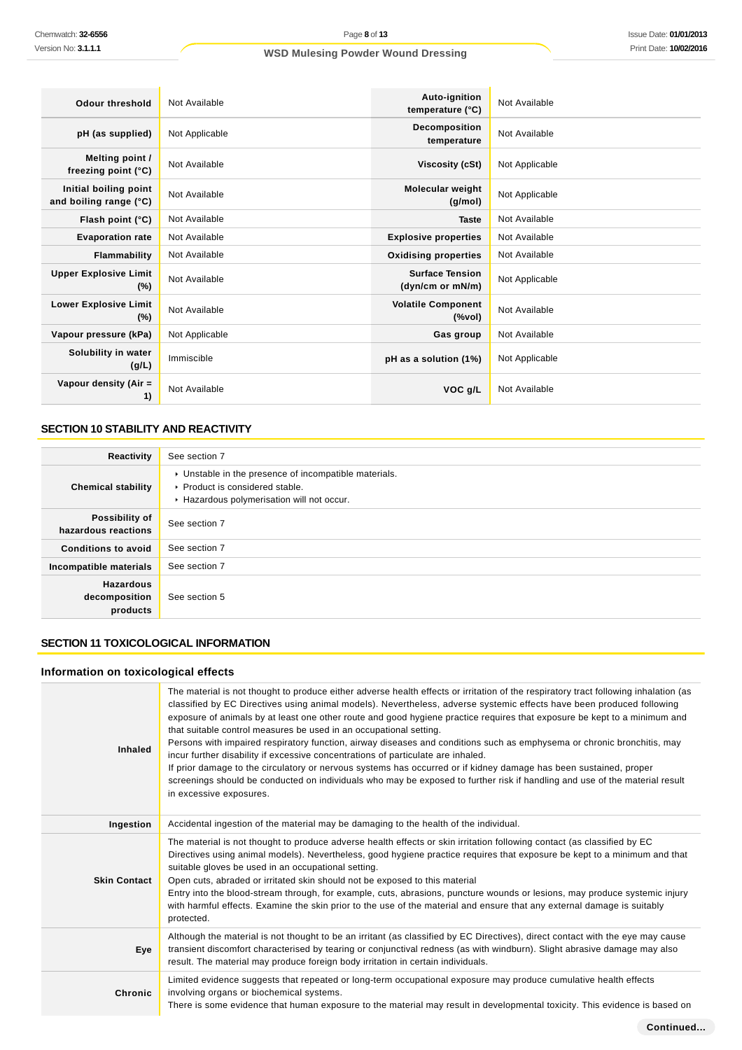| Odour threshold                                 | Not Available  | Auto-ignition<br>temperature (°C)          | Not Available  |
|-------------------------------------------------|----------------|--------------------------------------------|----------------|
| pH (as supplied)                                | Not Applicable | Decomposition<br>temperature               | Not Available  |
| Melting point /<br>freezing point (°C)          | Not Available  | Viscosity (cSt)                            | Not Applicable |
| Initial boiling point<br>and boiling range (°C) | Not Available  | Molecular weight<br>(g/mol)                | Not Applicable |
| Flash point (°C)                                | Not Available  | <b>Taste</b>                               | Not Available  |
| <b>Evaporation rate</b>                         | Not Available  | <b>Explosive properties</b>                | Not Available  |
| Flammability                                    | Not Available  | <b>Oxidising properties</b>                | Not Available  |
| <b>Upper Explosive Limit</b><br>$(\%)$          | Not Available  | <b>Surface Tension</b><br>(dyn/cm or mN/m) | Not Applicable |
| <b>Lower Explosive Limit</b><br>$(\%)$          | Not Available  | <b>Volatile Component</b><br>$(\%$ vol)    | Not Available  |
| Vapour pressure (kPa)                           | Not Applicable | Gas group                                  | Not Available  |
| Solubility in water<br>(g/L)                    | Immiscible     | pH as a solution (1%)                      | Not Applicable |
| Vapour density (Air =<br>1)                     | Not Available  | VOC g/L                                    | Not Available  |

## **SECTION 10 STABILITY AND REACTIVITY**

| Reactivity                                    | See section 7                                                                                                                        |
|-----------------------------------------------|--------------------------------------------------------------------------------------------------------------------------------------|
| <b>Chemical stability</b>                     | • Unstable in the presence of incompatible materials.<br>▶ Product is considered stable.<br>Hazardous polymerisation will not occur. |
| Possibility of<br>hazardous reactions         | See section 7                                                                                                                        |
| <b>Conditions to avoid</b>                    | See section 7                                                                                                                        |
| Incompatible materials                        | See section 7                                                                                                                        |
| <b>Hazardous</b><br>decomposition<br>products | See section 5                                                                                                                        |

## **SECTION 11 TOXICOLOGICAL INFORMATION**

## **Information on toxicological effects**

| <b>Inhaled</b>      | The material is not thought to produce either adverse health effects or irritation of the respiratory tract following inhalation (as<br>classified by EC Directives using animal models). Nevertheless, adverse systemic effects have been produced following<br>exposure of animals by at least one other route and good hygiene practice requires that exposure be kept to a minimum and<br>that suitable control measures be used in an occupational setting.<br>Persons with impaired respiratory function, airway diseases and conditions such as emphysema or chronic bronchitis, may<br>incur further disability if excessive concentrations of particulate are inhaled.<br>If prior damage to the circulatory or nervous systems has occurred or if kidney damage has been sustained, proper<br>screenings should be conducted on individuals who may be exposed to further risk if handling and use of the material result<br>in excessive exposures. |
|---------------------|----------------------------------------------------------------------------------------------------------------------------------------------------------------------------------------------------------------------------------------------------------------------------------------------------------------------------------------------------------------------------------------------------------------------------------------------------------------------------------------------------------------------------------------------------------------------------------------------------------------------------------------------------------------------------------------------------------------------------------------------------------------------------------------------------------------------------------------------------------------------------------------------------------------------------------------------------------------|
| Ingestion           | Accidental ingestion of the material may be damaging to the health of the individual.                                                                                                                                                                                                                                                                                                                                                                                                                                                                                                                                                                                                                                                                                                                                                                                                                                                                          |
| <b>Skin Contact</b> | The material is not thought to produce adverse health effects or skin irritation following contact (as classified by EC<br>Directives using animal models). Nevertheless, good hygiene practice requires that exposure be kept to a minimum and that<br>suitable gloves be used in an occupational setting.<br>Open cuts, abraded or irritated skin should not be exposed to this material<br>Entry into the blood-stream through, for example, cuts, abrasions, puncture wounds or lesions, may produce systemic injury<br>with harmful effects. Examine the skin prior to the use of the material and ensure that any external damage is suitably<br>protected.                                                                                                                                                                                                                                                                                              |
| Eye                 | Although the material is not thought to be an irritant (as classified by EC Directives), direct contact with the eye may cause<br>transient discomfort characterised by tearing or conjunctival redness (as with windburn). Slight abrasive damage may also<br>result. The material may produce foreign body irritation in certain individuals.                                                                                                                                                                                                                                                                                                                                                                                                                                                                                                                                                                                                                |
| Chronic             | Limited evidence suggests that repeated or long-term occupational exposure may produce cumulative health effects<br>involving organs or biochemical systems.<br>There is some evidence that human exposure to the material may result in developmental toxicity. This evidence is based on                                                                                                                                                                                                                                                                                                                                                                                                                                                                                                                                                                                                                                                                     |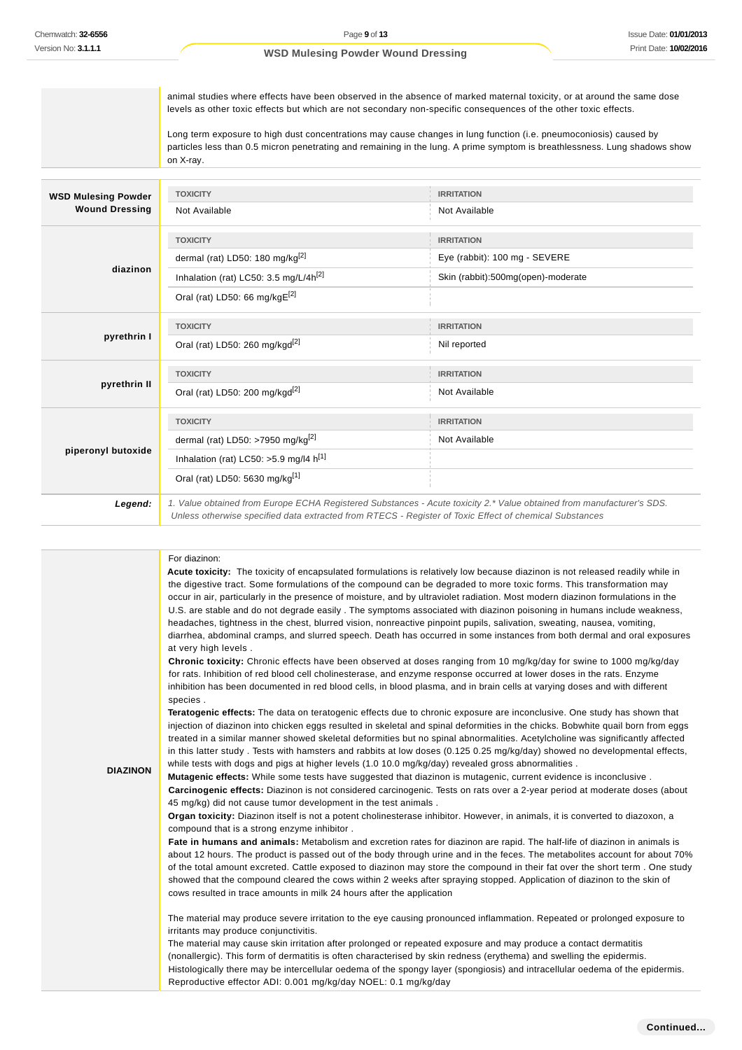animal studies where effects have been observed in the absence of marked maternal toxicity, or at around the same dose levels as other toxic effects but which are not secondary non-specific consequences of the other toxic effects.

Long term exposure to high dust concentrations may cause changes in lung function (i.e. pneumoconiosis) caused by particles less than 0.5 micron penetrating and remaining in the lung. A prime symptom is breathlessness. Lung shadows show on X-ray.

| <b>WSD Mulesing Powder</b> | <b>TOXICITY</b>                               | <b>IRRITATION</b>                                                                                                     |
|----------------------------|-----------------------------------------------|-----------------------------------------------------------------------------------------------------------------------|
| <b>Wound Dressing</b>      | Not Available                                 | Not Available                                                                                                         |
|                            | <b>TOXICITY</b>                               | <b>IRRITATION</b>                                                                                                     |
|                            | dermal (rat) LD50: 180 mg/kg $^{[2]}$         | Eye (rabbit): 100 mg - SEVERE                                                                                         |
| diazinon                   | Inhalation (rat) LC50: 3.5 mg/L/4 $h^{[2]}$   | Skin (rabbit):500mg(open)-moderate                                                                                    |
|                            | Oral (rat) LD50: 66 mg/kgE <sup>[2]</sup>     |                                                                                                                       |
|                            | <b>TOXICITY</b>                               | <b>IRRITATION</b>                                                                                                     |
| pyrethrin I                | Oral (rat) LD50: 260 mg/kgd <sup>[2]</sup>    | Nil reported                                                                                                          |
|                            | <b>TOXICITY</b>                               | <b>IRRITATION</b>                                                                                                     |
| pyrethrin II               | Oral (rat) LD50: 200 mg/kgd <sup>[2]</sup>    | Not Available                                                                                                         |
|                            | <b>TOXICITY</b>                               | <b>IRRITATION</b>                                                                                                     |
|                            | dermal (rat) LD50: >7950 mg/kg <sup>[2]</sup> | Not Available                                                                                                         |
| piperonyl butoxide         | Inhalation (rat) LC50: >5.9 mg/l4 $h^{[1]}$   |                                                                                                                       |
|                            | Oral (rat) LD50: 5630 mg/kg[1]                |                                                                                                                       |
| Legend:                    |                                               | 1. Value obtained from Europe ECHA Registered Substances - Acute toxicity 2.* Value obtained from manufacturer's SDS. |
|                            |                                               | Unless otherwise specified data extracted from RTECS - Register of Toxic Effect of chemical Substances                |

#### For diazinon:

**Acute toxicity:** The toxicity of encapsulated formulations is relatively low because diazinon is not released readily while in the digestive tract. Some formulations of the compound can be degraded to more toxic forms. This transformation may occur in air, particularly in the presence of moisture, and by ultraviolet radiation. Most modern diazinon formulations in the U.S. are stable and do not degrade easily. The symptoms associated with diazinon poisoning in humans include weakness, headaches, tightness in the chest, blurred vision, nonreactive pinpoint pupils, salivation, sweating, nausea, vomiting, diarrhea, abdominal cramps, and slurred speech. Death has occurred in some instances from both dermal and oral exposures at very high levels .

**Chronic toxicity:** Chronic effects have been observed at doses ranging from 10 mg/kg/day for swine to 1000 mg/kg/day for rats. Inhibition of red blood cell cholinesterase, and enzyme response occurred at lower doses in the rats. Enzyme inhibition has been documented in red blood cells, in blood plasma, and in brain cells at varying doses and with different species .

**Teratogenic effects:** The data on teratogenic effects due to chronic exposure are inconclusive. One study has shown that injection of diazinon into chicken eggs resulted in skeletal and spinal deformities in the chicks. Bobwhite quail born from eggs treated in a similar manner showed skeletal deformities but no spinal abnormalities. Acetylcholine was significantly affected in this latter study . Tests with hamsters and rabbits at low doses (0.125 0.25 mg/kg/day) showed no developmental effects, while tests with dogs and pigs at higher levels (1.0.10.0 mg/kg/day) revealed gross abnormalities.

#### **DIAZINON**

**Mutagenic effects:** While some tests have suggested that diazinon is mutagenic, current evidence is inconclusive . **Carcinogenic effects:** Diazinon is not considered carcinogenic. Tests on rats over a 2-year period at moderate doses (about 45 mg/kg) did not cause tumor development in the test animals .

**Organ toxicity:** Diazinon itself is not a potent cholinesterase inhibitor. However, in animals, it is converted to diazoxon, a compound that is a strong enzyme inhibitor .

**Fate in humans and animals:** Metabolism and excretion rates for diazinon are rapid. The half-life of diazinon in animals is about 12 hours. The product is passed out of the body through urine and in the feces. The metabolites account for about 70% of the total amount excreted. Cattle exposed to diazinon may store the compound in their fat over the short term . One study showed that the compound cleared the cows within 2 weeks after spraying stopped. Application of diazinon to the skin of cows resulted in trace amounts in milk 24 hours after the application

The material may produce severe irritation to the eye causing pronounced inflammation. Repeated or prolonged exposure to irritants may produce conjunctivitis.

The material may cause skin irritation after prolonged or repeated exposure and may produce a contact dermatitis (nonallergic). This form of dermatitis is often characterised by skin redness (erythema) and swelling the epidermis. Histologically there may be intercellular oedema of the spongy layer (spongiosis) and intracellular oedema of the epidermis. Reproductive effector ADI: 0.001 mg/kg/day NOEL: 0.1 mg/kg/day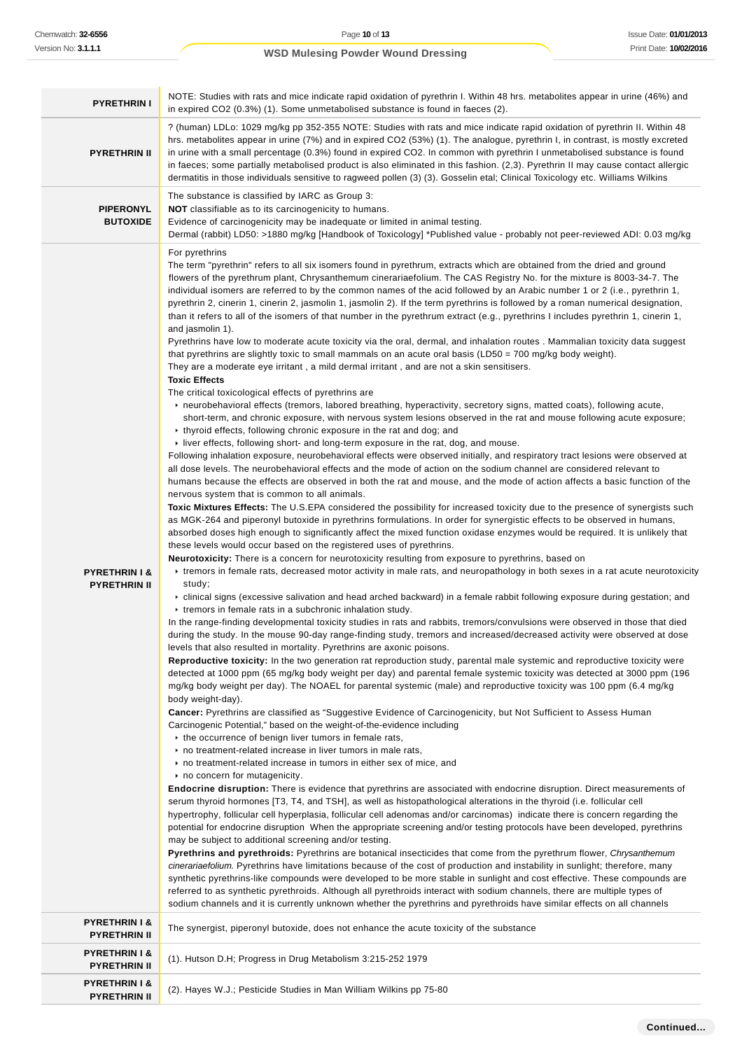**PYRETHRIN II**

| <b>PYRETHRIN I</b>                              | NOTE: Studies with rats and mice indicate rapid oxidation of pyrethrin I. Within 48 hrs. metabolites appear in urine (46%) and<br>in expired CO2 (0.3%) (1). Some unmetabolised substance is found in faeces (2).                                                                                                                                                                                                                                                                                                                                                                                                                                                                                                                                                                                                                                                                                                                                                                                                                                                                                                                                                                                                                                                                                                                                                                                                                                                                                                                                                                                                                                                                                                                                                                                                                                                                                                                                                                                                                                                                                                                                                                                                                                                                                                                                                                                                                                                                                                                                                                                                                                                                                                                                                                                                                                                                                                                                                                                                                                                                                                                                                                                                                                                                                                                                                                                                                                                                                                                                                                                                                                                                                                                                                                                                                                                                                                                                                                                                                                                                                                                                                                                                                                                                                                                                                                                                                                                                                                                                                                                                                                                                                                                                                                                                                                                                                                                                                                                                                                                                                                                                                                                                                                                                                                                                    |
|-------------------------------------------------|------------------------------------------------------------------------------------------------------------------------------------------------------------------------------------------------------------------------------------------------------------------------------------------------------------------------------------------------------------------------------------------------------------------------------------------------------------------------------------------------------------------------------------------------------------------------------------------------------------------------------------------------------------------------------------------------------------------------------------------------------------------------------------------------------------------------------------------------------------------------------------------------------------------------------------------------------------------------------------------------------------------------------------------------------------------------------------------------------------------------------------------------------------------------------------------------------------------------------------------------------------------------------------------------------------------------------------------------------------------------------------------------------------------------------------------------------------------------------------------------------------------------------------------------------------------------------------------------------------------------------------------------------------------------------------------------------------------------------------------------------------------------------------------------------------------------------------------------------------------------------------------------------------------------------------------------------------------------------------------------------------------------------------------------------------------------------------------------------------------------------------------------------------------------------------------------------------------------------------------------------------------------------------------------------------------------------------------------------------------------------------------------------------------------------------------------------------------------------------------------------------------------------------------------------------------------------------------------------------------------------------------------------------------------------------------------------------------------------------------------------------------------------------------------------------------------------------------------------------------------------------------------------------------------------------------------------------------------------------------------------------------------------------------------------------------------------------------------------------------------------------------------------------------------------------------------------------------------------------------------------------------------------------------------------------------------------------------------------------------------------------------------------------------------------------------------------------------------------------------------------------------------------------------------------------------------------------------------------------------------------------------------------------------------------------------------------------------------------------------------------------------------------------------------------------------------------------------------------------------------------------------------------------------------------------------------------------------------------------------------------------------------------------------------------------------------------------------------------------------------------------------------------------------------------------------------------------------------------------------------------------------------------------------------------------------------------------------------------------------------------------------------------------------------------------------------------------------------------------------------------------------------------------------------------------------------------------------------------------------------------------------------------------------------------------------------------------------------------------------------------------------------------------------------------------------------------------------------------------------------------------------------------------------------------------------------------------------------------------------------------------------------------------------------------------------------------------------------------------------------------------------------------------------------------------------------------------------------------------------------------------------------------------------------------------------------------------------------------|
| <b>PYRETHRIN II</b>                             | ? (human) LDLo: 1029 mg/kg pp 352-355 NOTE: Studies with rats and mice indicate rapid oxidation of pyrethrin II. Within 48<br>hrs. metabolites appear in urine (7%) and in expired CO2 (53%) (1). The analogue, pyrethrin I, in contrast, is mostly excreted<br>in urine with a small percentage (0.3%) found in expired CO2. In common with pyrethrin I unmetabolised substance is found<br>in faeces; some partially metabolised product is also eliminated in this fashion. (2,3). Pyrethrin II may cause contact allergic<br>dermatitis in those individuals sensitive to ragweed pollen (3) (3). Gosselin etal; Clinical Toxicology etc. Williams Wilkins                                                                                                                                                                                                                                                                                                                                                                                                                                                                                                                                                                                                                                                                                                                                                                                                                                                                                                                                                                                                                                                                                                                                                                                                                                                                                                                                                                                                                                                                                                                                                                                                                                                                                                                                                                                                                                                                                                                                                                                                                                                                                                                                                                                                                                                                                                                                                                                                                                                                                                                                                                                                                                                                                                                                                                                                                                                                                                                                                                                                                                                                                                                                                                                                                                                                                                                                                                                                                                                                                                                                                                                                                                                                                                                                                                                                                                                                                                                                                                                                                                                                                                                                                                                                                                                                                                                                                                                                                                                                                                                                                                                                                                                                                       |
| <b>PIPERONYL</b><br><b>BUTOXIDE</b>             | The substance is classified by IARC as Group 3:<br><b>NOT</b> classifiable as to its carcinogenicity to humans.<br>Evidence of carcinogenicity may be inadequate or limited in animal testing.<br>Dermal (rabbit) LD50: >1880 mg/kg [Handbook of Toxicology] *Published value - probably not peer-reviewed ADI: 0.03 mg/kg                                                                                                                                                                                                                                                                                                                                                                                                                                                                                                                                                                                                                                                                                                                                                                                                                                                                                                                                                                                                                                                                                                                                                                                                                                                                                                                                                                                                                                                                                                                                                                                                                                                                                                                                                                                                                                                                                                                                                                                                                                                                                                                                                                                                                                                                                                                                                                                                                                                                                                                                                                                                                                                                                                                                                                                                                                                                                                                                                                                                                                                                                                                                                                                                                                                                                                                                                                                                                                                                                                                                                                                                                                                                                                                                                                                                                                                                                                                                                                                                                                                                                                                                                                                                                                                                                                                                                                                                                                                                                                                                                                                                                                                                                                                                                                                                                                                                                                                                                                                                                           |
| <b>PYRETHRIN I &amp;</b><br><b>PYRETHRIN II</b> | For pyrethrins<br>The term "pyrethrin" refers to all six isomers found in pyrethrum, extracts which are obtained from the dried and ground<br>flowers of the pyrethrum plant, Chrysanthemum cinerariaefolium. The CAS Registry No. for the mixture is 8003-34-7. The<br>individual isomers are referred to by the common names of the acid followed by an Arabic number 1 or 2 (i.e., pyrethrin 1,<br>pyrethrin 2, cinerin 1, cinerin 2, jasmolin 1, jasmolin 2). If the term pyrethrins is followed by a roman numerical designation,<br>than it refers to all of the isomers of that number in the pyrethrum extract (e.g., pyrethrins I includes pyrethrin 1, cinerin 1,<br>and jasmolin 1).<br>Pyrethrins have low to moderate acute toxicity via the oral, dermal, and inhalation routes . Mammalian toxicity data suggest<br>that pyrethrins are slightly toxic to small mammals on an acute oral basis (LD50 = 700 mg/kg body weight).<br>They are a moderate eye irritant, a mild dermal irritant, and are not a skin sensitisers.<br><b>Toxic Effects</b><br>The critical toxicological effects of pyrethrins are<br>► neurobehavioral effects (tremors, labored breathing, hyperactivity, secretory signs, matted coats), following acute,<br>short-term, and chronic exposure, with nervous system lesions observed in the rat and mouse following acute exposure;<br>▶ thyroid effects, following chronic exposure in the rat and dog; and<br>$\blacktriangleright$ liver effects, following short- and long-term exposure in the rat, dog, and mouse.<br>Following inhalation exposure, neurobehavioral effects were observed initially, and respiratory tract lesions were observed at<br>all dose levels. The neurobehavioral effects and the mode of action on the sodium channel are considered relevant to<br>humans because the effects are observed in both the rat and mouse, and the mode of action affects a basic function of the<br>nervous system that is common to all animals.<br>Toxic Mixtures Effects: The U.S.EPA considered the possibility for increased toxicity due to the presence of synergists such<br>as MGK-264 and piperonyl butoxide in pyrethrins formulations. In order for synergistic effects to be observed in humans,<br>absorbed doses high enough to significantly affect the mixed function oxidase enzymes would be required. It is unlikely that<br>these levels would occur based on the registered uses of pyrethrins.<br><b>Neurotoxicity:</b> There is a concern for neurotoxicity resulting from exposure to pyrethrins, based on<br>Extremors in female rats, decreased motor activity in male rats, and neuropathology in both sexes in a rat acute neurotoxicity<br>study;<br>► clinical signs (excessive salivation and head arched backward) in a female rabbit following exposure during gestation; and<br>r tremors in female rats in a subchronic inhalation study.<br>In the range-finding developmental toxicity studies in rats and rabbits, tremors/convulsions were observed in those that died<br>during the study. In the mouse 90-day range-finding study, tremors and increased/decreased activity were observed at dose<br>levels that also resulted in mortality. Pyrethrins are axonic poisons.<br><b>Reproductive toxicity:</b> In the two generation rat reproduction study, parental male systemic and reproductive toxicity were<br>detected at 1000 ppm (65 mg/kg body weight per day) and parental female systemic toxicity was detected at 3000 ppm (196<br>mg/kg body weight per day). The NOAEL for parental systemic (male) and reproductive toxicity was 100 ppm (6.4 mg/kg<br>body weight-day).<br>Cancer: Pyrethrins are classified as "Suggestive Evidence of Carcinogenicity, but Not Sufficient to Assess Human<br>Carcinogenic Potential," based on the weight-of-the-evidence including<br>▶ the occurrence of benign liver tumors in female rats,<br>no treatment-related increase in liver tumors in male rats,<br>no treatment-related increase in tumors in either sex of mice, and<br>no concern for mutagenicity.<br>Endocrine disruption: There is evidence that pyrethrins are associated with endocrine disruption. Direct measurements of<br>serum thyroid hormones [T3, T4, and TSH], as well as histopathological alterations in the thyroid (i.e. follicular cell<br>hypertrophy, follicular cell hyperplasia, follicular cell adenomas and/or carcinomas) indicate there is concern regarding the<br>potential for endocrine disruption When the appropriate screening and/or testing protocols have been developed, pyrethrins<br>may be subject to additional screening and/or testing.<br>Pyrethrins and pyrethroids: Pyrethrins are botanical insecticides that come from the pyrethrum flower, Chrysanthemum<br>cinerariaefolium. Pyrethrins have limitations because of the cost of production and instability in sunlight; therefore, many<br>synthetic pyrethrins-like compounds were developed to be more stable in sunlight and cost effective. These compounds are<br>referred to as synthetic pyrethroids. Although all pyrethroids interact with sodium channels, there are multiple types of<br>sodium channels and it is currently unknown whether the pyrethrins and pyrethroids have similar effects on all channels |
| <b>PYRETHRIN I &amp;</b><br><b>PYRETHRIN II</b> | The synergist, piperonyl butoxide, does not enhance the acute toxicity of the substance                                                                                                                                                                                                                                                                                                                                                                                                                                                                                                                                                                                                                                                                                                                                                                                                                                                                                                                                                                                                                                                                                                                                                                                                                                                                                                                                                                                                                                                                                                                                                                                                                                                                                                                                                                                                                                                                                                                                                                                                                                                                                                                                                                                                                                                                                                                                                                                                                                                                                                                                                                                                                                                                                                                                                                                                                                                                                                                                                                                                                                                                                                                                                                                                                                                                                                                                                                                                                                                                                                                                                                                                                                                                                                                                                                                                                                                                                                                                                                                                                                                                                                                                                                                                                                                                                                                                                                                                                                                                                                                                                                                                                                                                                                                                                                                                                                                                                                                                                                                                                                                                                                                                                                                                                                                              |
| <b>PYRETHRIN I &amp;</b><br><b>PYRETHRIN II</b> | (1). Hutson D.H; Progress in Drug Metabolism 3:215-252 1979                                                                                                                                                                                                                                                                                                                                                                                                                                                                                                                                                                                                                                                                                                                                                                                                                                                                                                                                                                                                                                                                                                                                                                                                                                                                                                                                                                                                                                                                                                                                                                                                                                                                                                                                                                                                                                                                                                                                                                                                                                                                                                                                                                                                                                                                                                                                                                                                                                                                                                                                                                                                                                                                                                                                                                                                                                                                                                                                                                                                                                                                                                                                                                                                                                                                                                                                                                                                                                                                                                                                                                                                                                                                                                                                                                                                                                                                                                                                                                                                                                                                                                                                                                                                                                                                                                                                                                                                                                                                                                                                                                                                                                                                                                                                                                                                                                                                                                                                                                                                                                                                                                                                                                                                                                                                                          |
| <b>PYRETHRIN I &amp;</b><br><b>DVDETUDIN II</b> | (2). Hayes W.J.; Pesticide Studies in Man William Wilkins pp 75-80                                                                                                                                                                                                                                                                                                                                                                                                                                                                                                                                                                                                                                                                                                                                                                                                                                                                                                                                                                                                                                                                                                                                                                                                                                                                                                                                                                                                                                                                                                                                                                                                                                                                                                                                                                                                                                                                                                                                                                                                                                                                                                                                                                                                                                                                                                                                                                                                                                                                                                                                                                                                                                                                                                                                                                                                                                                                                                                                                                                                                                                                                                                                                                                                                                                                                                                                                                                                                                                                                                                                                                                                                                                                                                                                                                                                                                                                                                                                                                                                                                                                                                                                                                                                                                                                                                                                                                                                                                                                                                                                                                                                                                                                                                                                                                                                                                                                                                                                                                                                                                                                                                                                                                                                                                                                                   |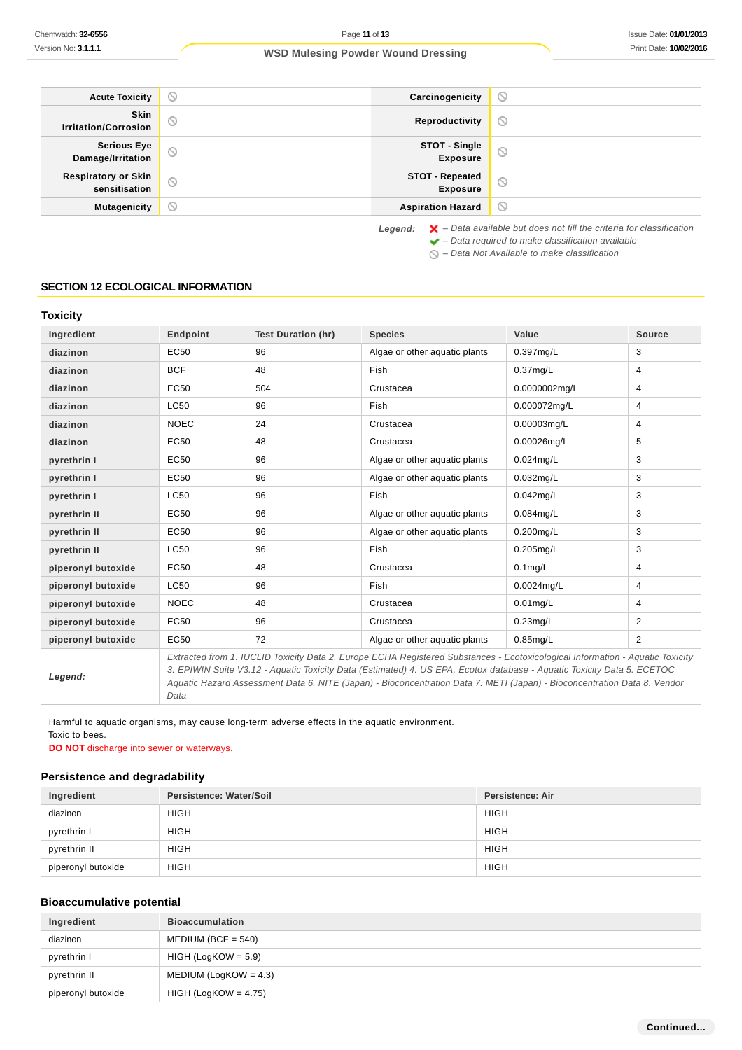| <b>Acute Toxicity</b>                       | $\circ$ | Carcinogenicity                           | $\odot$                                                                                             |
|---------------------------------------------|---------|-------------------------------------------|-----------------------------------------------------------------------------------------------------|
| Skin<br><b>Irritation/Corrosion</b>         | $\odot$ | Reproductivity                            | $\odot$                                                                                             |
| <b>Serious Eye</b><br>Damage/Irritation     | $\odot$ | STOT - Single<br><b>Exposure</b>          | $\odot$                                                                                             |
| <b>Respiratory or Skin</b><br>sensitisation | $\odot$ | <b>STOT - Repeated</b><br><b>Exposure</b> | $\odot$                                                                                             |
| <b>Mutagenicity</b>                         | $\circ$ | <b>Aspiration Hazard</b>                  | $\circ$                                                                                             |
|                                             |         |                                           | $\mathsf{I}$ around $\mathsf{I}$ . Data available but does not fill the exiteria for elassification |

Legend:  $\mathsf{X}$  - Data available but does not fill the criteria for classification

- $\blacktriangleright$  Data required to make classification available
- $\bigcirc$  Data Not Available to make classification

#### **SECTION 12 ECOLOGICAL INFORMATION**

## **Toxicity**

| Ingredient         | Endpoint    | <b>Test Duration (hr)</b> | <b>Species</b>                                                                                                                                                                                                                                                                                                                                                                      | Value         | <b>Source</b>  |
|--------------------|-------------|---------------------------|-------------------------------------------------------------------------------------------------------------------------------------------------------------------------------------------------------------------------------------------------------------------------------------------------------------------------------------------------------------------------------------|---------------|----------------|
| diazinon           | EC50        | 96                        | Algae or other aquatic plants                                                                                                                                                                                                                                                                                                                                                       | 0.397mg/L     | 3              |
| diazinon           | <b>BCF</b>  | 48                        | Fish                                                                                                                                                                                                                                                                                                                                                                                | $0.37$ mg/L   | 4              |
| diazinon           | EC50        | 504                       | Crustacea                                                                                                                                                                                                                                                                                                                                                                           | 0.0000002mg/L | 4              |
| diazinon           | <b>LC50</b> | 96                        | Fish                                                                                                                                                                                                                                                                                                                                                                                | 0.000072mg/L  | 4              |
| diazinon           | <b>NOEC</b> | 24                        | Crustacea                                                                                                                                                                                                                                                                                                                                                                           | 0.00003mg/L   | 4              |
| diazinon           | EC50        | 48                        | Crustacea                                                                                                                                                                                                                                                                                                                                                                           | 0.00026mg/L   | 5              |
| pyrethrin I        | EC50        | 96                        | Algae or other aquatic plants                                                                                                                                                                                                                                                                                                                                                       | $0.024$ mg/L  | 3              |
| pyrethrin I        | EC50        | 96                        | Algae or other aquatic plants                                                                                                                                                                                                                                                                                                                                                       | $0.032$ mg/L  | 3              |
| pyrethrin I        | <b>LC50</b> | 96                        | Fish                                                                                                                                                                                                                                                                                                                                                                                | $0.042$ mg/L  | 3              |
| pyrethrin II       | EC50        | 96                        | Algae or other aquatic plants                                                                                                                                                                                                                                                                                                                                                       | $0.084$ mg/L  | 3              |
| pyrethrin II       | EC50        | 96                        | Algae or other aquatic plants                                                                                                                                                                                                                                                                                                                                                       | 0.200mg/L     | 3              |
| pyrethrin II       | <b>LC50</b> | 96                        | Fish                                                                                                                                                                                                                                                                                                                                                                                | $0.205$ mg/L  | 3              |
| piperonyl butoxide | EC50        | 48                        | Crustacea                                                                                                                                                                                                                                                                                                                                                                           | $0.1$ mg/L    | 4              |
| piperonyl butoxide | <b>LC50</b> | 96                        | Fish                                                                                                                                                                                                                                                                                                                                                                                | 0.0024mg/L    | 4              |
| piperonyl butoxide | <b>NOEC</b> | 48                        | Crustacea                                                                                                                                                                                                                                                                                                                                                                           | $0.01$ mg/L   | 4              |
| piperonyl butoxide | EC50        | 96                        | Crustacea                                                                                                                                                                                                                                                                                                                                                                           | $0.23$ mg/L   | 2              |
| piperonyl butoxide | EC50        | 72                        | Algae or other aquatic plants                                                                                                                                                                                                                                                                                                                                                       | $0.85$ mg/L   | $\overline{2}$ |
| Legend:            |             |                           | Extracted from 1. IUCLID Toxicity Data 2. Europe ECHA Registered Substances - Ecotoxicological Information - Aquatic Toxicity<br>3. EPIWIN Suite V3.12 - Aquatic Toxicity Data (Estimated) 4. US EPA, Ecotox database - Aquatic Toxicity Data 5. ECETOC<br>Aquatic Hazard Assessment Data 6. NITE (Japan) - Bioconcentration Data 7. METI (Japan) - Bioconcentration Data 8. Vendor |               |                |

Harmful to aquatic organisms, may cause long-term adverse effects in the aquatic environment. Toxic to bees.

**DO NOT** discharge into sewer or waterways.

Data

## **Persistence and degradability**

| Ingredient         | Persistence: Water/Soil | Persistence: Air |
|--------------------|-------------------------|------------------|
| diazinon           | <b>HIGH</b>             | <b>HIGH</b>      |
| pyrethrin I        | <b>HIGH</b>             | <b>HIGH</b>      |
| pyrethrin II       | <b>HIGH</b>             | <b>HIGH</b>      |
| piperonyl butoxide | <b>HIGH</b>             | <b>HIGH</b>      |

#### **Bioaccumulative potential**

| Ingredient         | <b>Bioaccumulation</b>   |
|--------------------|--------------------------|
| diazinon           | $MEDIUM (BCF = 540)$     |
| pyrethrin I        | $HIGH (LogKOW = 5.9)$    |
| pyrethrin II       | MEDIUM (LogKOW = $4.3$ ) |
| piperonyl butoxide | $HIGH (LogKOW = 4.75)$   |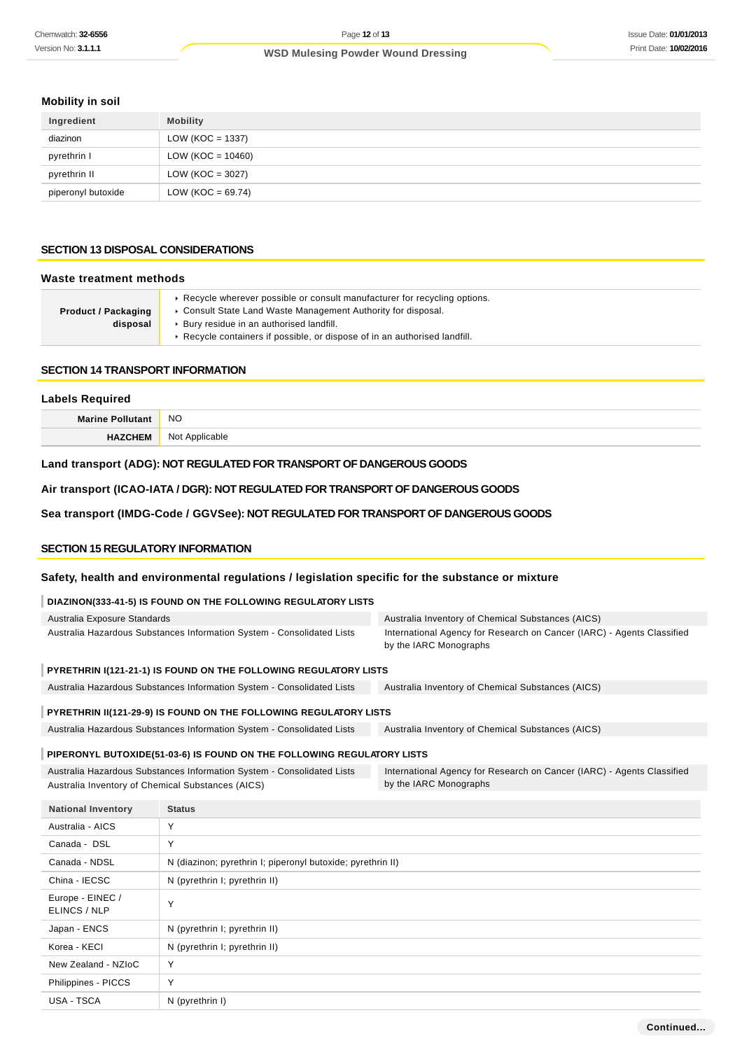## **Mobility in soil**

| Ingredient         | <b>Mobility</b>       |
|--------------------|-----------------------|
| diazinon           | LOW ( $KOC = 1337$ )  |
| pyrethrin I        | $LOW (KOC = 10460)$   |
| pyrethrin II       | LOW ( $KOC = 3027$ )  |
| piperonyl butoxide | LOW ( $KOC = 69.74$ ) |

#### **SECTION 13 DISPOSAL CONSIDERATIONS**

#### **Waste treatment methods**

| ► Recycle wherever possible or consult manufacturer for recycling options. |
|----------------------------------------------------------------------------|
| ► Consult State Land Waste Management Authority for disposal.              |
| ▶ Bury residue in an authorised landfill.                                  |
| ► Recycle containers if possible, or dispose of in an authorised landfill. |
|                                                                            |

## **SECTION 14 TRANSPORT INFORMATION**

# **Labels Required Marine Pollutant** NO **HAZCHEM** Not Applicable

## **Land transport (ADG): NOT REGULATED FOR TRANSPORT OF DANGEROUS GOODS**

**Air transport (ICAO-IATA / DGR): NOT REGULATED FOR TRANSPORT OF DANGEROUS GOODS**

## **Sea transport (IMDG-Code / GGVSee): NOT REGULATED FOR TRANSPORT OF DANGEROUS GOODS**

#### **SECTION 15 REGULATORY INFORMATION**

#### **Safety, health and environmental regulations / legislation specific for the substance or mixture**

#### **DIAZINON(333-41-5) IS FOUND ON THE FOLLOWING REGULATORY LISTS**

| Australia Exposure Standards                                           | Australia Inventory of Chemical Substances (AICS)                                                |  |
|------------------------------------------------------------------------|--------------------------------------------------------------------------------------------------|--|
| Australia Hazardous Substances Information System - Consolidated Lists | International Agency for Research on Cancer (IARC) - Agents Classified<br>by the IARC Monographs |  |
| PYRETHRIN I(121-21-1) IS FOUND ON THE FOLLOWING REGULATORY LISTS       |                                                                                                  |  |
| Australia Hazardous Substances Information System - Consolidated Lists | Australia Inventory of Chemical Substances (AICS)                                                |  |
| PYRETHRIN II(121-29-9) IS FOUND ON THE FOLLOWING REGULATORY LISTS      |                                                                                                  |  |
| Australia Hazardous Substances Information System - Consolidated Lists | Australia Inventory of Chemical Substances (AICS)                                                |  |

## **PIPERONYL BUTOXIDE(51-03-6) IS FOUND ON THE FOLLOWING REGULATORY LISTS**

| Australia Hazardous Substances Information System - Consolidated Lists | International Agency for Research on Cancer (IARC) - Agents Classified |  |
|------------------------------------------------------------------------|------------------------------------------------------------------------|--|
| Australia Inventory of Chemical Substances (AICS)                      | by the IARC Monographs                                                 |  |

| <b>National Inventory</b>        | <b>Status</b>                                               |
|----------------------------------|-------------------------------------------------------------|
| Australia - AICS                 | Y                                                           |
| Canada - DSL                     | Y                                                           |
| Canada - NDSL                    | N (diazinon; pyrethrin I; piperonyl butoxide; pyrethrin II) |
| China - IECSC                    | N (pyrethrin I; pyrethrin II)                               |
| Europe - EINEC /<br>ELINCS / NLP | Y                                                           |
| Japan - ENCS                     | N (pyrethrin I; pyrethrin II)                               |
| Korea - KECI                     | N (pyrethrin I; pyrethrin II)                               |
| New Zealand - NZIoC              | Y                                                           |
| Philippines - PICCS              | Y                                                           |
| USA - TSCA                       | N (pyrethrin I)                                             |